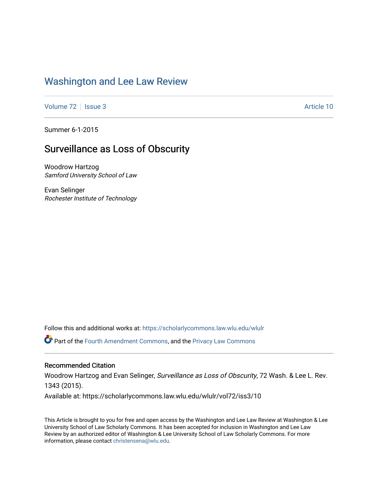# [Washington and Lee Law Review](https://scholarlycommons.law.wlu.edu/wlulr)

[Volume 72](https://scholarlycommons.law.wlu.edu/wlulr/vol72) | [Issue 3](https://scholarlycommons.law.wlu.edu/wlulr/vol72/iss3) Article 10

Summer 6-1-2015

# Surveillance as Loss of Obscurity

Woodrow Hartzog Samford University School of Law

Evan Selinger Rochester Institute of Technology

Follow this and additional works at: [https://scholarlycommons.law.wlu.edu/wlulr](https://scholarlycommons.law.wlu.edu/wlulr?utm_source=scholarlycommons.law.wlu.edu%2Fwlulr%2Fvol72%2Fiss3%2F10&utm_medium=PDF&utm_campaign=PDFCoverPages) 

Part of the [Fourth Amendment Commons,](http://network.bepress.com/hgg/discipline/1180?utm_source=scholarlycommons.law.wlu.edu%2Fwlulr%2Fvol72%2Fiss3%2F10&utm_medium=PDF&utm_campaign=PDFCoverPages) and the [Privacy Law Commons](http://network.bepress.com/hgg/discipline/1234?utm_source=scholarlycommons.law.wlu.edu%2Fwlulr%2Fvol72%2Fiss3%2F10&utm_medium=PDF&utm_campaign=PDFCoverPages) 

# Recommended Citation

Woodrow Hartzog and Evan Selinger, Surveillance as Loss of Obscurity, 72 Wash. & Lee L. Rev. 1343 (2015).

Available at: https://scholarlycommons.law.wlu.edu/wlulr/vol72/iss3/10

This Article is brought to you for free and open access by the Washington and Lee Law Review at Washington & Lee University School of Law Scholarly Commons. It has been accepted for inclusion in Washington and Lee Law Review by an authorized editor of Washington & Lee University School of Law Scholarly Commons. For more information, please contact [christensena@wlu.edu](mailto:christensena@wlu.edu).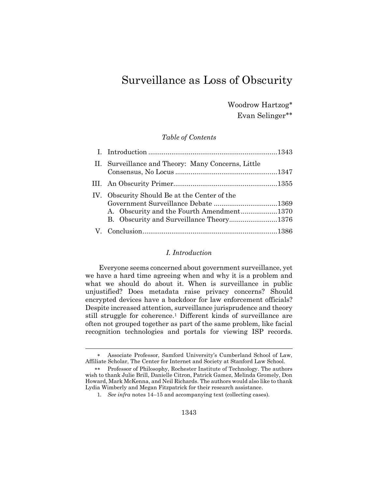# Surveillance as Loss of Obscurity

Woodrow Hartzog Evan Selinger

*Table of Contents*

| II. Surveillance and Theory: Many Concerns, Little                                        |  |
|-------------------------------------------------------------------------------------------|--|
|                                                                                           |  |
| IV. Obscurity Should Be at the Center of the<br>A. Obscurity and the Fourth Amendment1370 |  |
|                                                                                           |  |

#### *I. Introduction*

Everyone seems concerned about government surveillance, yet we have a hard time agreeing when and why it is a problem and what we should do about it. When is surveillance in public unjustified? Does metadata raise privacy concerns? Should encrypted devices have a backdoor for law enforcement officials? Despite increased attention, surveillance jurisprudence and theory still struggle for coherence.<sup>1</sup> Different kinds of surveillance are often not grouped together as part of the same problem, like facial recognition technologies and portals for viewing ISP records.

Associate Professor, Samford University's Cumberland School of Law, Affiliate Scholar, The Center for Internet and Society at Stanford Law School.

Professor of Philosophy, Rochester Institute of Technology. The authors wish to thank Julie Brill, Danielle Citron, Patrick Gamez, Melinda Gromely, Don Howard, Mark McKenna, and Neil Richards. The authors would also like to thank Lydia Wimberly and Megan Fitzpatrick for their research assistance.

<sup>1</sup>*. See infra* note[s 14](#page-7-0)–[15](#page-8-0) and accompanying text (collecting cases).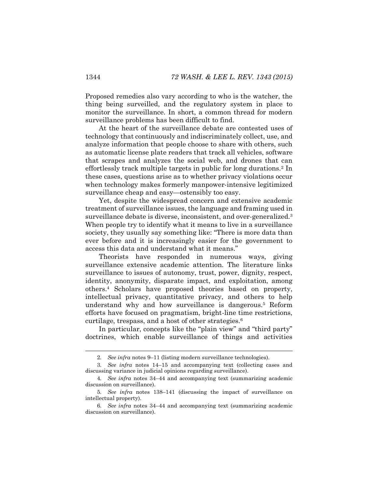Proposed remedies also vary according to who is the watcher, the thing being surveilled, and the regulatory system in place to monitor the surveillance. In short, a common thread for modern surveillance problems has been difficult to find.

At the heart of the surveillance debate are contested uses of technology that continuously and indiscriminately collect, use, and analyze information that people choose to share with others, such as automatic license plate readers that track all vehicles, software that scrapes and analyzes the social web, and drones that can effortlessly track multiple targets in public for long durations.<sup>2</sup> In these cases, questions arise as to whether privacy violations occur when technology makes formerly manpower-intensive legitimized surveillance cheap and easy—ostensibly too easy.

Yet, despite the widespread concern and extensive academic treatment of surveillance issues, the language and framing used in surveillance debate is diverse, inconsistent, and over-generalized.<sup>3</sup> When people try to identify what it means to live in a surveillance society, they usually say something like: "There is more data than ever before and it is increasingly easier for the government to access this data and understand what it means."

Theorists have responded in numerous ways, giving surveillance extensive academic attention. The literature links surveillance to issues of autonomy, trust, power, dignity, respect, identity, anonymity, disparate impact, and exploitation, among others.<sup>4</sup> Scholars have proposed theories based on property, intellectual privacy, quantitative privacy, and others to help understand why and how surveillance is dangerous.<sup>5</sup> Reform efforts have focused on pragmatism, bright-line time restrictions, curtilage, trespass, and a host of other strategies.<sup>6</sup>

In particular, concepts like the "plain view" and "third party" doctrines, which enable surveillance of things and activities

<sup>2</sup>*. See infra* note[s 9](#page-5-0)–[11](#page-6-0) (listing modern surveillance technologies).

<sup>3</sup>*. See infra* notes [14](#page-7-0)–[15](#page-8-0) and accompanying text (collecting cases and discussing variance in judicial opinions regarding surveillance).

<sup>4</sup>*. See infra* notes [34](#page-11-0)–[44](#page-12-0) and accompanying text (summarizing academic discussion on surveillance).

<sup>5</sup>*. See infra* notes [138](#page-36-0)–[141](#page-36-1) (discussing the impact of surveillance on intellectual property).

<sup>6</sup>*. See infra* notes [34](#page-11-0)–[44](#page-12-0) and accompanying text (summarizing academic discussion on surveillance).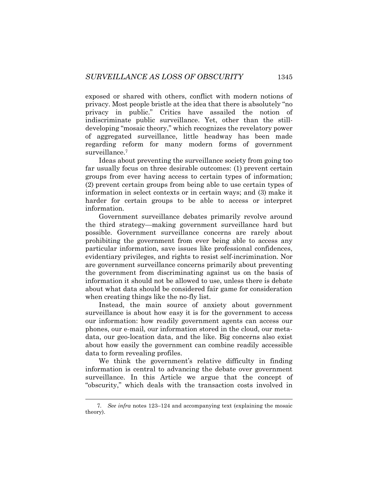exposed or shared with others, conflict with modern notions of privacy. Most people bristle at the idea that there is absolutely "no privacy in public." Critics have assailed the notion of indiscriminate public surveillance. Yet, other than the stilldeveloping "mosaic theory," which recognizes the revelatory power of aggregated surveillance, little headway has been made regarding reform for many modern forms of government surveillance.<sup>7</sup>

Ideas about preventing the surveillance society from going too far usually focus on three desirable outcomes: (1) prevent certain groups from ever having access to certain types of information; (2) prevent certain groups from being able to use certain types of information in select contexts or in certain ways; and (3) make it harder for certain groups to be able to access or interpret information.

Government surveillance debates primarily revolve around the third strategy—making government surveillance hard but possible. Government surveillance concerns are rarely about prohibiting the government from ever being able to access any particular information, save issues like professional confidences, evidentiary privileges, and rights to resist self-incrimination. Nor are government surveillance concerns primarily about preventing the government from discriminating against us on the basis of information it should not be allowed to use, unless there is debate about what data should be considered fair game for consideration when creating things like the no-fly list.

Instead, the main source of anxiety about government surveillance is about how easy it is for the government to access our information: how readily government agents can access our phones, our e-mail, our information stored in the cloud, our metadata, our geo-location data, and the like. Big concerns also exist about how easily the government can combine readily accessible data to form revealing profiles.

We think the government's relative difficulty in finding information is central to advancing the debate over government surveillance. In this Article we argue that the concept of "obscurity," which deals with the transaction costs involved in

<sup>7</sup>*. See infra* notes [123](#page-33-0)–[124](#page-33-1) and accompanying text (explaining the mosaic theory).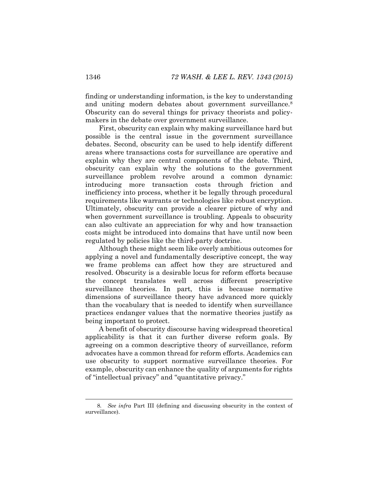finding or understanding information, is the key to understanding and uniting modern debates about government surveillance.<sup>8</sup> Obscurity can do several things for privacy theorists and policymakers in the debate over government surveillance.

First, obscurity can explain why making surveillance hard but possible is the central issue in the government surveillance debates. Second, obscurity can be used to help identify different areas where transactions costs for surveillance are operative and explain why they are central components of the debate. Third, obscurity can explain why the solutions to the government surveillance problem revolve around a common dynamic: introducing more transaction costs through friction and inefficiency into process, whether it be legally through procedural requirements like warrants or technologies like robust encryption. Ultimately, obscurity can provide a clearer picture of why and when government surveillance is troubling. Appeals to obscurity can also cultivate an appreciation for why and how transaction costs might be introduced into domains that have until now been regulated by policies like the third-party doctrine.

Although these might seem like overly ambitious outcomes for applying a novel and fundamentally descriptive concept, the way we frame problems can affect how they are structured and resolved. Obscurity is a desirable locus for reform efforts because the concept translates well across different prescriptive surveillance theories. In part, this is because normative dimensions of surveillance theory have advanced more quickly than the vocabulary that is needed to identify when surveillance practices endanger values that the normative theories justify as being important to protect.

A benefit of obscurity discourse having widespread theoretical applicability is that it can further diverse reform goals. By agreeing on a common descriptive theory of surveillance, reform advocates have a common thread for reform efforts. Academics can use obscurity to support normative surveillance theories. For example, obscurity can enhance the quality of arguments for rights of "intellectual privacy" and "quantitative privacy."

<sup>8</sup>*. See infra* Part III (defining and discussing obscurity in the context of surveillance).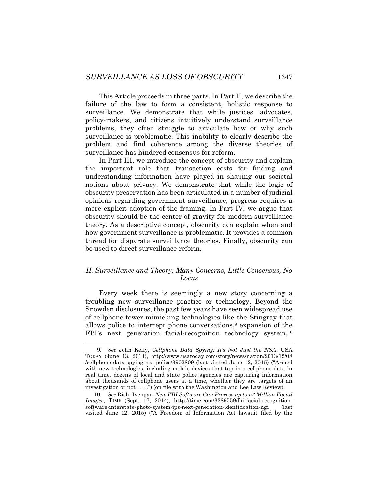This Article proceeds in three parts. In Part II, we describe the failure of the law to form a consistent, holistic response to surveillance. We demonstrate that while justices, advocates, policy-makers, and citizens intuitively understand surveillance problems, they often struggle to articulate how or why such surveillance is problematic. This inability to clearly describe the problem and find coherence among the diverse theories of surveillance has hindered consensus for reform.

In Part III, we introduce the concept of obscurity and explain the important role that transaction costs for finding and understanding information have played in shaping our societal notions about privacy. We demonstrate that while the logic of obscurity preservation has been articulated in a number of judicial opinions regarding government surveillance, progress requires a more explicit adoption of the framing. In Part IV, we argue that obscurity should be the center of gravity for modern surveillance theory. As a descriptive concept, obscurity can explain when and how government surveillance is problematic. It provides a common thread for disparate surveillance theories. Finally, obscurity can be used to direct surveillance reform.

# *II. Surveillance and Theory: Many Concerns, Little Consensus, No Locus*

Every week there is seemingly a new story concerning a troubling new surveillance practice or technology. Beyond the Snowden disclosures, the past few years have seen widespread use of cellphone-tower-mimicking technologies like the Stingray that allows police to intercept phone conversations, <sup>9</sup> expansion of the FBI's next generation facial-recognition technology system,<sup>10</sup>

<span id="page-5-0"></span><sup>9</sup>*. See* John Kelly, *Cellphone Data Spying: It's Not Just the NSA*, USA TODAY (June 13, 2014), http://www.usatoday.com/story/news/nation/2013/12/08 /cellphone-data-spying-nsa-police/3902809 (last visited June 12, 2015) ("Armed with new technologies, including mobile devices that tap into cellphone data in real time, dozens of local and state police agencies are capturing information about thousands of cellphone users at a time, whether they are targets of an investigation or not  $\dots$ .") (on file with the Washington and Lee Law Review).

<sup>10</sup>*. See* Rishi Iyengar, *New FBI Software Can Process up to 52 Million Facial Images*, TIME (Sept. 17, 2014), http://time.com/3389559/fbi-facial-recognitionsoftware-interstate-photo-system-ips-next-generation-identification-ngi (last visited June 12, 2015) ("A Freedom of Information Act lawsuit filed by the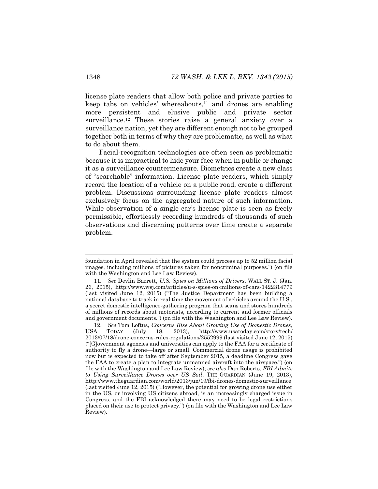<span id="page-6-0"></span>license plate readers that allow both police and private parties to keep tabs on vehicles' whereabouts, $11$  and drones are enabling more persistent and elusive public and private sector surveillance.<sup>12</sup> These stories raise a general anxiety over a surveillance nation, yet they are different enough not to be grouped together both in terms of why they are problematic, as well as what to do about them.

Facial-recognition technologies are often seen as problematic because it is impractical to hide your face when in public or change it as a surveillance countermeasure. Biometrics create a new class of "searchable" information. License plate readers, which simply record the location of a vehicle on a public road, create a different problem. Discussions surrounding license plate readers almost exclusively focus on the aggregated nature of such information. While observation of a single car's license plate is seen as freely permissible, effortlessly recording hundreds of thousands of such observations and discerning patterns over time create a separate problem.

foundation in April revealed that the system could process up to 52 million facial images, including millions of pictures taken for noncriminal purposes.") (on file with the Washington and Lee Law Review).

<sup>11</sup>*. See* Devlin Barrett, *U.S. Spies on Millions of Drivers*, WALL ST. J. (Jan. 26, 2015), http://www.wsj.com/articles/u-s-spies-on-millions-of-cars-1422314779 (last visited June 12, 2015) ("The Justice Department has been building a national database to track in real time the movement of vehicles around the U.S., a secret domestic intelligence-gathering program that scans and stores hundreds of millions of records about motorists, according to current and former officials and government documents.") (on file with the Washington and Lee Law Review).

<sup>12.</sup> *See* Tom Loftus, *Concerns Rise About Growing Use of Domestic Drones*, USA TODAY (July 18, 2013), http://www.usatoday.com/story/tech/ 2013/07/18/drone-concerns-rules-regulations/2552999 (last visited June 12, 2015) ("[G]overnment agencies and universities can apply to the FAA for a certificate of authority to fly a drone—large or small. Commercial drone usage is prohibited now but is expected to take off after September 2015, a deadline Congress gave the FAA to create a plan to integrate unmanned aircraft into the airspace.") (on file with the Washington and Lee Law Review); *see also* Dan Roberts, *FBI Admits to Using Surveillance Drones over US Soil*, THE GUARDIAN (June 19, 2013), http://www.theguardian.com/world/2013/jun/19/fbi-drones-domestic-surveillance (last visited June 12, 2015) ("However, the potential for growing drone use either in the US, or involving US citizens abroad, is an increasingly charged issue in Congress, and the FBI acknowledged there may need to be legal restrictions placed on their use to protect privacy.") (on file with the Washington and Lee Law Review).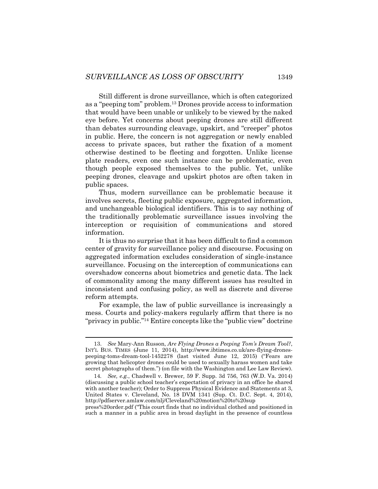Still different is drone surveillance, which is often categorized as a "peeping tom" problem.<sup>13</sup> Drones provide access to information that would have been unable or unlikely to be viewed by the naked eye before. Yet concerns about peeping drones are still different than debates surrounding cleavage, upskirt, and "creeper" photos in public. Here, the concern is not aggregation or newly enabled access to private spaces, but rather the fixation of a moment otherwise destined to be fleeting and forgotten. Unlike license plate readers, even one such instance can be problematic, even though people exposed themselves to the public. Yet, unlike peeping drones, cleavage and upskirt photos are often taken in public spaces.

Thus, modern surveillance can be problematic because it involves secrets, fleeting public exposure, aggregated information, and unchangeable biological identifiers. This is to say nothing of the traditionally problematic surveillance issues involving the interception or requisition of communications and stored information.

It is thus no surprise that it has been difficult to find a common center of gravity for surveillance policy and discourse. Focusing on aggregated information excludes consideration of single-instance surveillance. Focusing on the interception of communications can overshadow concerns about biometrics and genetic data. The lack of commonality among the many different issues has resulted in inconsistent and confusing policy, as well as discrete and diverse reform attempts.

<span id="page-7-0"></span>For example, the law of public surveillance is increasingly a mess. Courts and policy-makers regularly affirm that there is no "privacy in public."<sup>14</sup> Entire concepts like the "public view" doctrine

l

press%20order.pdf ("This court finds that no individual clothed and positioned in such a manner in a public area in broad daylight in the presence of countless

<sup>13.</sup> *See* Mary-Ann Russon, *Are Flying Drones a Peeping Tom's Dream Tool?*, INT'L BUS. TIMES (June 11, 2014), http://www.ibtimes.co.uk/are-flying-dronespeeping-toms-dream-tool-1452278 (last visited June 12, 2015) ("Fears are growing that helicopter drones could be used to sexually harass women and take secret photographs of them.") (on file with the Washington and Lee Law Review).

<sup>14</sup>*. See, e.g.*, Chadwell v. Brewer*,* 59 F. Supp. 3d 756, 763 (W.D. Va. 2014) (discussing a public school teacher's expectation of privacy in an office he shared with another teacher); Order to Suppress Physical Evidence and Statements at 3, United States v. Cleveland, No. 18 DVM 1341 (Sup. Ct. D.C. Sept. 4, 2014), http://pdfserver.amlaw.com/nlj/Cleveland%20motion%20to%20sup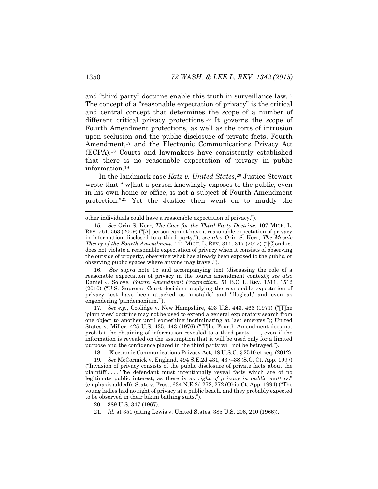<span id="page-8-0"></span>and "third party" doctrine enable this truth in surveillance law.<sup>15</sup> The concept of a "reasonable expectation of privacy" is the critical and central concept that determines the scope of a number of different critical privacy protections.<sup>16</sup> It governs the scope of Fourth Amendment protections, as well as the torts of intrusion upon seclusion and the public disclosure of private facts, Fourth Amendment,<sup>17</sup> and the Electronic Communications Privacy Act (ECPA). <sup>18</sup> Courts and lawmakers have consistently established that there is no reasonable expectation of privacy in public information.<sup>19</sup>

In the landmark case *Katz v. United States*, <sup>20</sup> Justice Stewart wrote that "[w]hat a person knowingly exposes to the public, even in his own home or office, is not a subject of Fourth Amendment protection."<sup>21</sup> Yet the Justice then went on to muddy the

16. *See supra* note [15](#page-8-0) and accompanying text (discussing the role of a reasonable expectation of privacy in the fourth amendment context); *see also* Daniel J. Solove, *Fourth Amendment Pragmatism*, 51 B.C. L. REV. 1511, 1512 (2010) ("U.S. Supreme Court decisions applying the reasonable expectation of privacy test have been attacked as 'unstable' and 'illogical,' and even as engendering 'pandemonium.'").

17*. See e.g.*, Coolidge v. New Hampshire, 403 U.S. 443, 466 (1971) ("[T]he 'plain view' doctrine may not be used to extend a general exploratory search from one object to another until something incriminating at last emerges."); United States v. Miller, 425 U.S. 435, 443 (1976) ("[T]he Fourth Amendment does not prohibit the obtaining of information revealed to a third party . . . , even if the information is revealed on the assumption that it will be used only for a limited purpose and the confidence placed in the third party will not be betrayed.").

18. Electronic Communications Privacy Act, 18 U.S.C. § 2510 et seq. (2012).

19*. See* McCormick v. England, 494 S.E.2d 431, 437–38 (S.C. Ct. App. 1997) ("Invasion of privacy consists of the public disclosure of private facts about the plaintiff . . . . The defendant must intentionally reveal facts which are of no legitimate public interest, as there is *no right of privacy in public matters*." (emphasis added)); State v. Frost, 634 N.E.2d 272, 272 (Ohio Ct. App. 1994) ("The young ladies had no right of privacy at a public beach, and they probably expected to be observed in their bikini bathing suits.").

20. 389 U.S. 347 (1967).

other individuals could have a reasonable expectation of privacy.").

<sup>15</sup>*. See* Orin S. Kerr, *The Case for the Third-Party Doctrine*, 107 MICH. L. REV. 561, 563 (2009) ("[A] person cannot have a reasonable expectation of privacy in information disclosed to a third party."); *see also* Orin S. Kerr, *The Mosaic Theory of the Fourth Amendment*, 111 MICH. L. REV. 311, 317 (2012) ("[C]onduct does not violate a reasonable expectation of privacy when it consists of observing the outside of property, observing what has already been exposed to the public, or observing public spaces where anyone may travel.").

<sup>21</sup>*. Id.* at 351 (citing Lewis v. United States, 385 U.S. 206, 210 (1966)).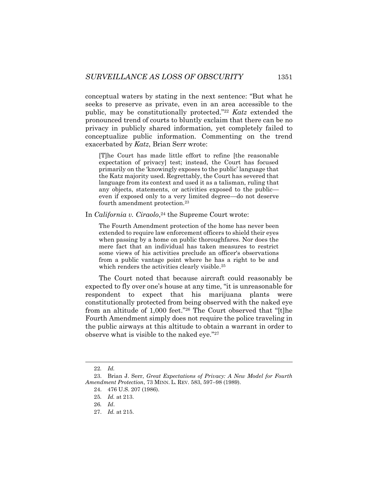conceptual waters by stating in the next sentence: "But what he seeks to preserve as private, even in an area accessible to the public, may be constitutionally protected."<sup>22</sup> *Katz* extended the pronounced trend of courts to bluntly exclaim that there can be no privacy in publicly shared information, yet completely failed to conceptualize public information. Commenting on the trend exacerbated by *Katz*, Brian Serr wrote:

[T]he Court has made little effort to refine [the reasonable expectation of privacy] test; instead, the Court has focused primarily on the 'knowingly exposes to the public' language that the Katz majority used. Regrettably, the Court has severed that language from its context and used it as a talisman, ruling that any objects, statements, or activities exposed to the public even if exposed only to a very limited degree—do not deserve fourth amendment protection.<sup>23</sup>

In *California v. Ciraolo*, <sup>24</sup> the Supreme Court wrote:

The Fourth Amendment protection of the home has never been extended to require law enforcement officers to shield their eyes when passing by a home on public thoroughfares. Nor does the mere fact that an individual has taken measures to restrict some views of his activities preclude an officer's observations from a public vantage point where he has a right to be and which renders the activities clearly visible.<sup>25</sup>

The Court noted that because aircraft could reasonably be expected to fly over one's house at any time, "it is unreasonable for respondent to expect that his marijuana plants were constitutionally protected from being observed with the naked eye from an altitude of 1,000 feet."<sup>26</sup> The Court observed that "[t]he Fourth Amendment simply does not require the police traveling in the public airways at this altitude to obtain a warrant in order to observe what is visible to the naked eye."<sup>27</sup>

<sup>22</sup>*. Id.*

<sup>23.</sup> Brian J. Serr, *Great Expectations of Privacy: A New Model for Fourth Amendment Protection*, 73 MINN. L. REV. 583, 597–98 (1989).

<sup>24.</sup> 476 U.S. 207 (1986).

<sup>25</sup>*. Id.* at 213.

<sup>26</sup>*. Id*.

<sup>27.</sup> *Id.* at 215.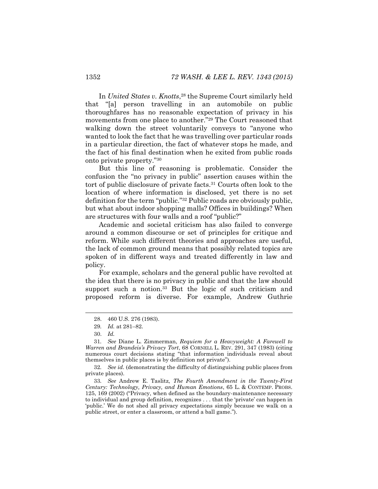In *United States v. Knotts*, <sup>28</sup> the Supreme Court similarly held that "[a] person travelling in an automobile on public thoroughfares has no reasonable expectation of privacy in his movements from one place to another."<sup>29</sup> The Court reasoned that walking down the street voluntarily conveys to "anyone who wanted to look the fact that he was travelling over particular roads in a particular direction, the fact of whatever stops he made, and the fact of his final destination when he exited from public roads onto private property."<sup>30</sup>

But this line of reasoning is problematic. Consider the confusion the "no privacy in public" assertion causes within the tort of public disclosure of private facts.<sup>31</sup> Courts often look to the location of where information is disclosed, yet there is no set definition for the term "public."<sup>32</sup> Public roads are obviously public, but what about indoor shopping malls? Offices in buildings? When are structures with four walls and a roof "public?"

Academic and societal criticism has also failed to converge around a common discourse or set of principles for critique and reform. While such different theories and approaches are useful, the lack of common ground means that possibly related topics are spoken of in different ways and treated differently in law and policy.

For example, scholars and the general public have revolted at the idea that there is no privacy in public and that the law should support such a notion.<sup>33</sup> But the logic of such criticism and proposed reform is diverse. For example, Andrew Guthrie

32*. See id.* (demonstrating the difficulty of distinguishing public places from private places).

33*. See* Andrew E. Taslitz, *The Fourth Amendment in the Twenty-First Century: Technology, Privacy, and Human Emotions*, 65 L. & CONTEMP. PROBS. 125, 169 (2002) ("Privacy, when defined as the boundary-maintenance necessary to individual and group definition, recognizes . . . that the 'private' can happen in 'public.' We do not shed all privacy expectations simply because we walk on a public street, or enter a classroom, or attend a ball game.").

<sup>28.</sup> 460 U.S. 276 (1983).

<sup>29</sup>*. Id.* at 281–82.

<sup>30.</sup> *Id.*

<sup>31</sup>*. See* Diane L. Zimmerman, *Requiem for a Heavyweight: A Farewell to Warren and Brandeis's Privacy Tort*, 68 CORNELL L. REV. 291, 347 (1983) (citing numerous court decisions stating "that information individuals reveal about themselves in public places is by definition not private").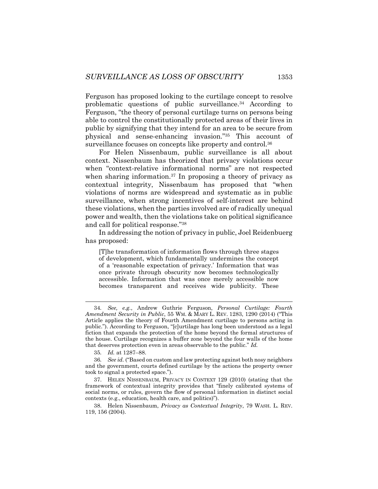<span id="page-11-0"></span>Ferguson has proposed looking to the curtilage concept to resolve problematic questions of public surveillance.<sup>34</sup> According to Ferguson, "the theory of personal curtilage turns on persons being able to control the constitutionally protected areas of their lives in public by signifying that they intend for an area to be secure from physical and sense-enhancing invasion."<sup>35</sup> This account of surveillance focuses on concepts like property and control.<sup>36</sup>

For Helen Nissenbaum, public surveillance is all about context. Nissenbaum has theorized that privacy violations occur when "context-relative informational norms" are not respected when sharing information.<sup>37</sup> In proposing a theory of privacy as contextual integrity, Nissenbaum has proposed that "when violations of norms are widespread and systematic as in public surveillance, when strong incentives of self-interest are behind these violations, when the parties involved are of radically unequal power and wealth, then the violations take on political significance and call for political response."<sup>38</sup>

In addressing the notion of privacy in public, Joel Reidenbuerg has proposed:

[T]he transformation of information flows through three stages of development, which fundamentally undermines the concept of a 'reasonable expectation of privacy.' Information that was once private through obscurity now becomes technologically accessible. Information that was once merely accessible now becomes transparent and receives wide publicity. These

<sup>34</sup>*. See, e.g.*, Andrew Guthrie Ferguson, *Personal Curtilage: Fourth Amendment Security in Public*, 55 WM. & MARY L. REV. 1283, 1290 (2014) ("This Article applies the theory of Fourth Amendment curtilage to persons acting in public."). According to Ferguson, "[c]urtilage has long been understood as a legal fiction that expands the protection of the home beyond the formal structures of the house. Curtilage recognizes a buffer zone beyond the four walls of the home that deserves protection even in areas observable to the public." *Id.*

<sup>35</sup>*. Id.* at 1287–88.

<sup>36</sup>*. See id.* ("Based on custom and law protecting against both nosy neighbors and the government, courts defined curtilage by the actions the property owner took to signal a protected space.").

<sup>37.</sup> HELEN NISSENBAUM, PRIVACY IN CONTEXT 129 (2010) (stating that the framework of contextual integrity provides that "finely calibrated systems of social norms, or rules, govern the flow of personal information in distinct social contexts (e.g., education, health care, and politics)").

<sup>38.</sup> Helen Nissenbaum, *Privacy as Contextual Integrity*, 79 WASH. L. REV. 119, 156 (2004).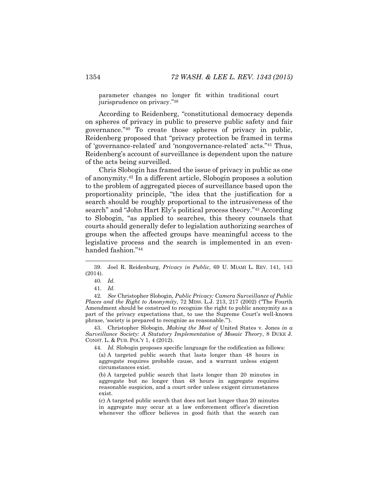parameter changes no longer fit within traditional court jurisprudence on privacy."<sup>39</sup>

According to Reidenberg, "constitutional democracy depends on spheres of privacy in public to preserve public safety and fair governance."<sup>40</sup> To create those spheres of privacy in public, Reidenberg proposed that "privacy protection be framed in terms of 'governance-related' and 'nongovernance-related' acts."<sup>41</sup> Thus, Reidenberg's account of surveillance is dependent upon the nature of the acts being surveilled.

Chris Slobogin has framed the issue of privacy in public as one of anonymity.<sup>42</sup> In a different article, Slobogin proposes a solution to the problem of aggregated pieces of surveillance based upon the proportionality principle, "the idea that the justification for a search should be roughly proportional to the intrusiveness of the search" and "John Hart Ely's political process theory."<sup>43</sup> According to Slobogin, "as applied to searches, this theory counsels that courts should generally defer to legislation authorizing searches of groups when the affected groups have meaningful access to the legislative process and the search is implemented in an evenhanded fashion."<sup>44</sup>

<span id="page-12-0"></span>

42*. See* Christopher Slobogin, *Public Privacy: Camera Surveillance of Public Places and the Right to Anonymity*, 72 MISS. L.J. 213, 217 (2002) ("The Fourth Amendment should be construed to recognize the right to public anonymity as a part of the privacy expectations that, to use the Supreme Court's well-known phrase, 'society is prepared to recognize as reasonable.'").

43. Christopher Slobogin, *Making the Most of* United States v. Jones *in a Surveillance Society: A Statutory Implementation of Mosaic Theory*, 8 DUKE J. CONST. L. & PUB. POL'Y 1, 4 (2012).

44*. Id.* Slobogin proposes specific language for the codification as follows:

(a) A targeted public search that lasts longer than 48 hours in aggregate requires probable cause, and a warrant unless exigent circumstances exist.

(b) A targeted public search that lasts longer than 20 minutes in aggregate but no longer than 48 hours in aggregate requires reasonable suspicion, and a court order unless exigent circumstances exist.

(c) A targeted public search that does not last longer than 20 minutes in aggregate may occur at a law enforcement officer's discretion whenever the officer believes in good faith that the search can

<sup>39.</sup> Joel R. Reidenburg, *Privacy in Public*, 69 U. MIAMI L. REV. 141, 143 (2014).

<sup>40</sup>*. Id.*

<sup>41</sup>*. Id.*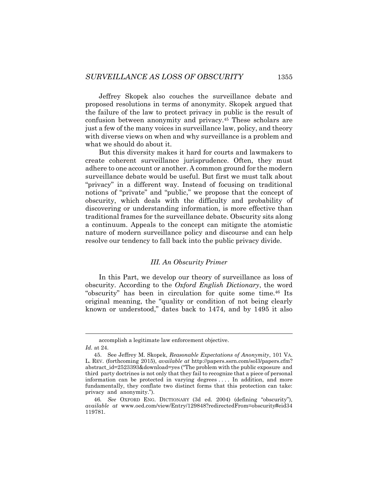Jeffrey Skopek also couches the surveillance debate and proposed resolutions in terms of anonymity. Skopek argued that the failure of the law to protect privacy in public is the result of confusion between anonymity and privacy.<sup>45</sup> These scholars are just a few of the many voices in surveillance law, policy, and theory with diverse views on when and why surveillance is a problem and what we should do about it.

But this diversity makes it hard for courts and lawmakers to create coherent surveillance jurisprudence. Often, they must adhere to one account or another. A common ground for the modern surveillance debate would be useful. But first we must talk about "privacy" in a different way. Instead of focusing on traditional notions of "private" and "public," we propose that the concept of obscurity, which deals with the difficulty and probability of discovering or understanding information, is more effective than traditional frames for the surveillance debate. Obscurity sits along a continuum. Appeals to the concept can mitigate the atomistic nature of modern surveillance policy and discourse and can help resolve our tendency to fall back into the public privacy divide.

#### *III. An Obscurity Primer*

In this Part, we develop our theory of surveillance as loss of obscurity. According to the *Oxford English Dictionary*, the word "obscurity" has been in circulation for quite some time.<sup>46</sup> Its original meaning, the "quality or condition of not being clearly known or understood," dates back to 1474, and by 1495 it also

accomplish a legitimate law enforcement objective.

*Id.* at 24.

<sup>45.</sup> See Jeffrey M. Skopek, *Reasonable Expectations of Anonymity*, 101 VA. L. REV. (forthcoming 2015), *available at* http://papers.ssrn.com/sol3/papers.cfm? abstract\_id=2523393&download=yes ("The problem with the public exposure and third party doctrines is not only that they fail to recognize that a piece of personal information can be protected in varying degrees . . . . In addition, and more fundamentally, they conflate two distinct forms that this protection can take: privacy and anonymity.").

<sup>46</sup>*. See* OXFORD ENG. DICTIONARY (3d ed. 2004) (defining "obscurity"), *available at* www.oed.com/view/Entry/129848?redirectedFrom=obscurity#eid34 119781.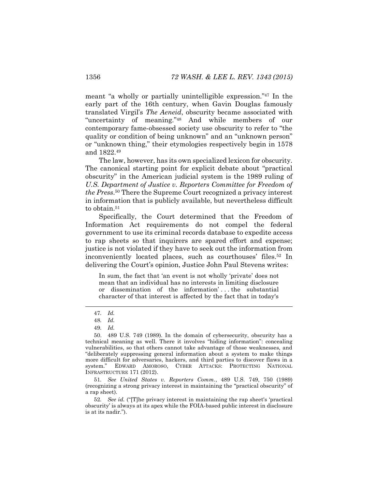meant "a wholly or partially unintelligible expression." <sup>47</sup> In the early part of the 16th century, when Gavin Douglas famously translated Virgil's *The Aeneid*, obscurity became associated with "uncertainty of meaning."<sup>48</sup> And while members of our contemporary fame-obsessed society use obscurity to refer to "the quality or condition of being unknown" and an "unknown person" or "unknown thing," their etymologies respectively begin in 1578 and 1822.<sup>49</sup>

The law, however, has its own specialized lexicon for obscurity. The canonical starting point for explicit debate about "practical obscurity" in the American judicial system is the 1989 ruling of U.S. Department of Justice v. Reporters Committee for Freedom of *the Press*. <sup>50</sup> There the Supreme Court recognized a privacy interest in information that is publicly available, but nevertheless difficult to obtain.<sup>51</sup>

Specifically, the Court determined that the Freedom of Information Act requirements do not compel the federal government to use its criminal records database to expedite access to rap sheets so that inquirers are spared effort and expense; justice is not violated if they have to seek out the information from inconveniently located places, such as courthouses' files.<sup>52</sup> In delivering the Court's opinion, Justice John Paul Stevens writes:

In sum, the fact that 'an event is not wholly 'private' does not mean that an individual has no interests in limiting disclosure or dissemination of the information' . . . the substantial character of that interest is affected by the fact that in today's

51*. See United States v. Reporters Comm.*, 489 U.S. 749, 750 (1989) (recognizing a strong privacy interest in maintaining the "practical obscurity" of a rap sheet).

52*. See id.* ("[T]he privacy interest in maintaining the rap sheet's 'practical obscurity' is always at its apex while the FOIA-based public interest in disclosure is at its nadir.").

<sup>47</sup>*. Id.*

<sup>48</sup>*. Id.*

<sup>49</sup>*. Id.*

<sup>50.</sup> 489 U.S. 749 (1989). In the domain of cybersecurity, obscurity has a technical meaning as well. There it involves "hiding information": concealing vulnerabilities, so that others cannot take advantage of those weaknesses, and "deliberately suppressing general information about a system to make things more difficult for adversaries, hackers, and third parties to discover flaws in a system." EDWARD AMOROSO, CYBER ATTACKS: PROTECTING NATIONAL INFRASTRUCTURE 171 (2012).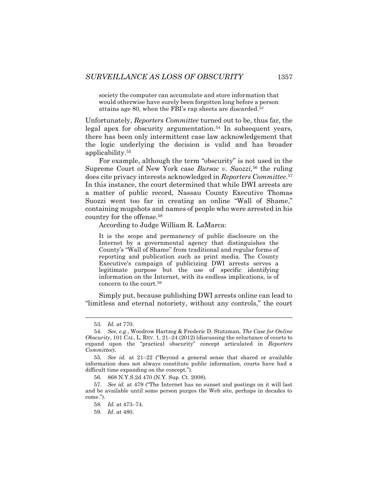<span id="page-15-0"></span>society the computer can accumulate and store information that would otherwise have surely been forgotten long before a person attains age 80, when the FBI's rap sheets are discarded.<sup>53</sup>

Unfortunately, *Reporters Committee* turned out to be, thus far, the legal apex for obscurity argumentation.<sup>54</sup> In subsequent years, there has been only intermittent case law acknowledgement that the logic underlying the decision is valid and has broader applicability.<sup>55</sup>

For example, although the term "obscurity" is not used in the Supreme Court of New York case *Bursac v. Suozzi*,<sup>56</sup> the ruling does cite privacy interests acknowledged in *Reporters Committee*. 57 In this instance, the court determined that while DWI arrests are a matter of public record, Nassau County Executive Thomas Suozzi went too far in creating an online "Wall of Shame," containing mugshots and names of people who were arrested in his country for the offense.<sup>58</sup>

According to Judge William R. LaMarca:

It is the scope and permanency of public disclosure on the Internet by a governmental agency that distinguishes the County's "Wall of Shame" from traditional and regular forms of reporting and publication such as print media. The County Executive's campaign of publicizing DWI arrests serves a legitimate purpose but the use of specific identifying information on the Internet, with its endless implications, is of concern to the court.<sup>59</sup>

Simply put, because publishing DWI arrests online can lead to "limitless and eternal notoriety, without any controls," the court

<sup>53</sup>*. Id.* at 770.

<sup>54</sup>*. See, e.g.*, Woodrow Hartzog & Frederic D. Stutzman, *The Case for Online Obscurity*, 101 CAL. L. REV. 1, 21–24 (2012) (discussing the reluctance of courts to expand upon the "practical obscurity" concept articulated in *Reporters Committee*).

<sup>55</sup>*. See id.* at 21–22 ("Beyond a general sense that shared or available information does not always constitute public information, courts have had a difficult time expanding on the concept.").

<sup>56.</sup> 868 N.Y.S.2d 470 (N.Y. Sup. Ct. 2008).

<sup>57.</sup> *See id.* at 479 ("The Internet has no sunset and postings on it will last and be available until some person purges the Web site, perhaps in decades to come.").

<sup>58</sup>*. Id.* at 473–74.

<sup>59</sup>*. Id*. at 480.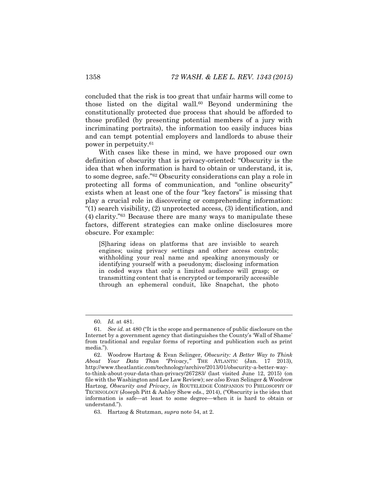concluded that the risk is too great that unfair harms will come to those listed on the digital wall.<sup>60</sup> Beyond undermining the constitutionally protected due process that should be afforded to those profiled (by presenting potential members of a jury with incriminating portraits), the information too easily induces bias and can tempt potential employers and landlords to abuse their power in perpetuity.<sup>61</sup>

<span id="page-16-0"></span>With cases like these in mind, we have proposed our own definition of obscurity that is privacy-oriented: "Obscurity is the idea that when information is hard to obtain or understand, it is, to some degree, safe."<sup>62</sup> Obscurity considerations can play a role in protecting all forms of communication, and "online obscurity" exists when at least one of the four "key factors" is missing that play a crucial role in discovering or comprehending information: "(1) search visibility, (2) unprotected access, (3) identification, and (4) clarity."<sup>63</sup> Because there are many ways to manipulate these factors, different strategies can make online disclosures more obscure. For example:

[S]haring ideas on platforms that are invisible to search engines; using privacy settings and other access controls; withholding your real name and speaking anonymously or identifying yourself with a pseudonym; disclosing information in coded ways that only a limited audience will grasp; or transmitting content that is encrypted or temporarily accessible through an ephemeral conduit, like Snapchat, the photo

<sup>60</sup>*. Id.* at 481.

<sup>61</sup>*. See id.* at 480 ("It is the scope and permanence of public disclosure on the Internet by a government agency that distinguishes the County's 'Wall of Shame' from traditional and regular forms of reporting and publication such as print media.").

<sup>62.</sup> Woodrow Hartzog & Evan Selinger, *Obscurity: A Better Way to Think About Your Data Than "Privacy*,*"* THE ATLANTIC (Jan. 17 2013), http://www.theatlantic.com/technology/archive/2013/01/obscurity-a-better-wayto-think-about-your-data-than-privacy/267283/ (last visited June 12, 2015) (on file with the Washington and Lee Law Review); s*ee also* Evan Selinger & Woodrow Hartzog, *Obscurity and Privacy*, *in* ROUTELEDGE COMPANION TO PHILOSOPHY OF TECHNOLOGY (Joseph Pitt & Ashley Shew eds., 2014), ("Obscurity is the idea that information is safe—at least to some degree—when it is hard to obtain or understand.").

<sup>63.</sup> Hartzog & Stutzman, *supra* note [54,](#page-15-0) at 2.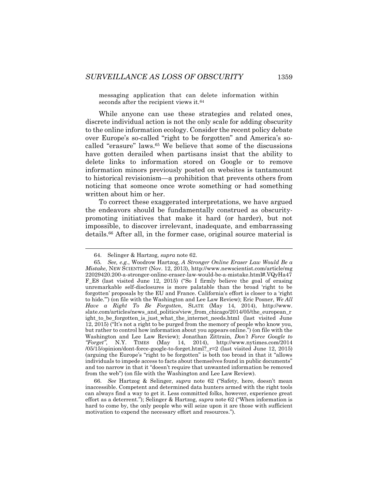messaging application that can delete information within seconds after the recipient views it.<sup>64</sup>

While anyone can use these strategies and related ones, discrete individual action is not the only scale for adding obscurity to the online information ecology. Consider the recent policy debate over Europe's so-called "right to be forgotten" and America's socalled "erasure" laws.<sup>65</sup> We believe that some of the discussions have gotten derailed when partisans insist that the ability to delete links to information stored on Google or to remove information minors previously posted on websites is tantamount to historical revisionism—a prohibition that prevents others from noticing that someone once wrote something or had something written about him or her.

To correct these exaggerated interpretations, we have argued the endeavors should be fundamentally construed as obscuritypromoting initiatives that make it hard (or harder), but not impossible, to discover irrelevant, inadequate, and embarrassing details.<sup>66</sup> After all, in the former case, original source material is

<sup>64.</sup> Selinger & Hartzog*, supra* not[e 62.](#page-16-0)

<sup>65</sup>*. See, e.g.*, Woodrow Hartzog, *A Stronger Online Eraser Law Would Be a Mistake*, NEW SCIENTIST (Nov. 12, 2013), http://www.newscientist.com/article/mg 22029420.200-a-stronger-online-eraser-law-would-be-a-mistake.html#.VQyHa47 F\_E8 (last visited June 12, 2015) ("So I firmly believe the goal of erasing unremarkable self-disclosures is more palatable than the broad 'right to be forgotten' proposals by the EU and France. California's effort is closer to a 'right to hide.'") (on file with the Washington and Lee Law Review); Eric Posner, *We All Have a Right To Be Forgotten*, SLATE (May 14, 2014), http://www. slate.com/articles/news\_and\_politics/view\_from\_chicago/2014/05/the\_european\_r ight to be forgotten is just what the internet needs.html (last visited June 12, 2015) ("It's not a right to be purged from the memory of people who know you, but rather to control how information about you appears online.") (on file with the Washington and Lee Law Review); Jonathan Zittrain, *Don't Force Google to "Forget"*, N.Y. TIMES (May 14, 2014), http://www.nytimes.com/2014 /05/15/opinion/dont-force-google-to-forget.html?\_r=2 (last visited June 12, 2015) (arguing the Europe's "right to be forgotten" is both too broad in that it "allows individuals to impede access to facts about themselves found in public documents" and too narrow in that it "doesn't require that unwanted information be removed from the web") (on file with the Washington and Lee Law Review).

<sup>66.</sup> *See* Hartzog & Selinger, *supra* note [62](#page-16-0) ("Safety, here, doesn't mean inaccessible. Competent and determined data hunters armed with the right tools can always find a way to get it. Less committed folks, however, experience great effort as a deterrent."); Selinger & Hartzog, *supra* note [62](#page-16-0) ("When information is hard to come by, the only people who will seize upon it are those with sufficient motivation to expend the necessary effort and resources.").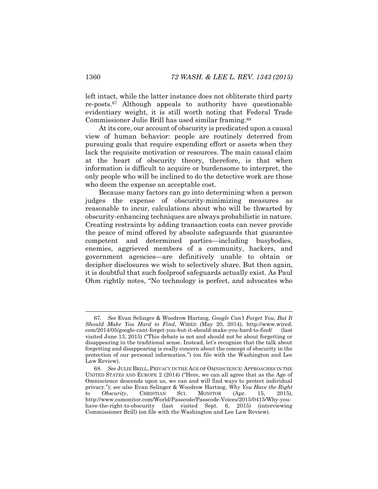left intact, while the latter instance does not obliterate third party re-posts.<sup>67</sup> Although appeals to authority have questionable evidentiary weight, it is still worth noting that Federal Trade Commissioner Julie Brill has used similar framing.<sup>68</sup>

At its core, our account of obscurity is predicated upon a causal view of human behavior: people are routinely deterred from pursuing goals that require expending effort or assets when they lack the requisite motivation or resources. The main causal claim at the heart of obscurity theory, therefore, is that when information is difficult to acquire or burdensome to interpret, the only people who will be inclined to do the detective work are those who deem the expense an acceptable cost.

Because many factors can go into determining when a person judges the expense of obscurity-minimizing measures as reasonable to incur, calculations about who will be thwarted by obscurity-enhancing techniques are always probabilistic in nature. Creating restraints by adding transaction costs can never provide the peace of mind offered by absolute safeguards that guarantee competent and determined parties—including busybodies, enemies, aggrieved members of a community, hackers, and government agencies—are definitively unable to obtain or decipher disclosures we wish to selectively share. But then again, it is doubtful that such foolproof safeguards actually exist. As Paul Ohm rightly notes, "No technology is perfect, and advocates who

<sup>67</sup>*. See* Evan Selinger & Woodrow Hartzog, *Google Can't Forget You, But It Should Make You Hard to Find*, WIRED (May 20, 2014), http://www.wired. com/2014/05/google-cant-forget-you-but-it-should-make-you-hard-to-find/ (last visited June 13, 2015) ("This debate is not and should not be about forgetting or disappearing in the traditional sense. Instead, let's recognize that the talk about forgetting and disappearing is really concern about the concept of obscurity in the protection of our personal information.") (on file with the Washington and Lee Law Review).

<sup>68</sup>*. See* JULIE BRILL,PRIVACY IN THE AGE OF OMNISCIENCE: APPROACHES IN THE UNITED STATES AND EUROPE 2 (2014) ("Here, we can all agree that as the Age of Omniscience descends upon us, we can and will find ways to protect individual privacy."); *see also* Evan Selinger & Woodrow Hartzog, *Why You Have the Right to Obscurity*, CHRISTIAN SCI. MONITOR (Apr. 15, 2015), http://www.csmonitor.com/World/Passcode/Passcode-Voices/2015/0415/Why-youhave-the-right-to-obscurity (last visited Sept. 6, 2015) (interviewing Commissioner Brill) (on file with the Washington and Lee Law Review).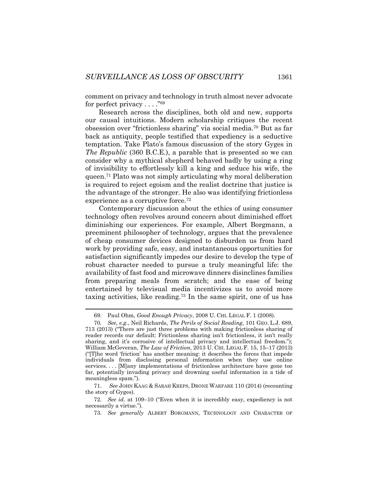comment on privacy and technology in truth almost never advocate for perfect privacy . . . . "<sup>69</sup>

Research across the disciplines, both old and new, supports our causal intuitions. Modern scholarship critiques the recent obsession over "frictionless sharing" via social media.<sup>70</sup> But as far back as antiquity, people testified that expediency is a seductive temptation. Take Plato's famous discussion of the story Gyges in *The Republic* (360 B.C.E.), a parable that is presented so we can consider why a mythical shepherd behaved badly by using a ring of invisibility to effortlessly kill a king and seduce his wife, the queen.<sup>71</sup> Plato was not simply articulating why moral deliberation is required to reject egoism and the realist doctrine that justice is the advantage of the stronger. He also was identifying frictionless experience as a corruptive force.<sup>72</sup>

<span id="page-19-0"></span>Contemporary discussion about the ethics of using consumer technology often revolves around concern about diminished effort diminishing our experiences. For example, Albert Borgmann, a preeminent philosopher of technology, argues that the prevalence of cheap consumer devices designed to disburden us from hard work by providing safe, easy, and instantaneous opportunities for satisfaction significantly impedes our desire to develop the type of robust character needed to pursue a truly meaningful life: the availability of fast food and microwave dinners disinclines families from preparing meals from scratch; and the ease of being entertained by televisual media incentivizes us to avoid more taxing activities, like reading.<sup>73</sup> In the same spirit, one of us has

<sup>69.</sup> Paul Ohm, *Good Enough Privacy*, 2008 U. CHI. LEGAL F. 1 (2008).

<sup>70</sup>*. See, e.g.*, Neil Richards, *The Perils of Social Reading*, 101 GEO. L.J. 689, 713 (2013) ("There are just three problems with making frictionless sharing of reader records our default: Frictionless sharing isn't frictionless, it isn't really sharing, and it's corrosive of intellectual privacy and intellectual freedom."); William McGeveran, *The Law of Friction*, 2013 U. CHI. LEGAL F. 15, 15–17 (2013) ("[T]he word 'friction' has another meaning: it describes the forces that impede individuals from disclosing personal information when they use online services. . . . [M]any implementations of frictionless architecture have gone too far, potentially invading privacy and drowning useful information in a tide of meaningless spam.").

<sup>71.</sup> *See* JOHN KAAG & SARAH KREPS, DRONE WARFARE 110 (2014) (recounting the story of Gyges).

<sup>72</sup>*. See id.* at 109–10 ("Even when it is incredibly easy, expediency is not necessarily a virtue.").

<sup>73</sup>*. See generally* ALBERT BORGMANN, TECHNOLOGY AND CHARACTER OF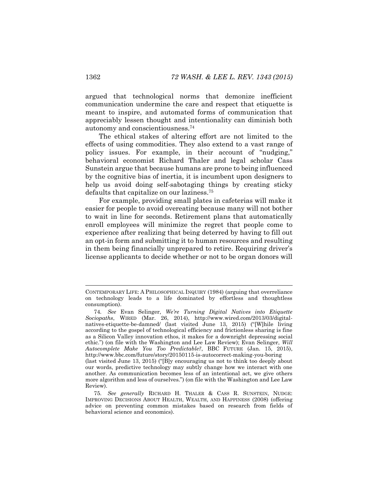argued that technological norms that demonize inefficient communication undermine the care and respect that etiquette is meant to inspire, and automated forms of communication that appreciably lessen thought and intentionality can diminish both autonomy and conscientiousness.<sup>74</sup>

The ethical stakes of altering effort are not limited to the effects of using commodities. They also extend to a vast range of policy issues. For example, in their account of "nudging," behavioral economist Richard Thaler and legal scholar Cass Sunstein argue that because humans are prone to being influenced by the cognitive bias of inertia, it is incumbent upon designers to help us avoid doing self-sabotaging things by creating sticky defaults that capitalize on our laziness.<sup>75</sup>

For example, providing small plates in cafeterias will make it easier for people to avoid overeating because many will not bother to wait in line for seconds. Retirement plans that automatically enroll employees will minimize the regret that people come to experience after realizing that being deterred by having to fill out an opt-in form and submitting it to human resources and resulting in them being financially unprepared to retire. Requiring driver's license applicants to decide whether or not to be organ donors will

CONTEMPORARY LIFE: A PHILOSOPHICAL INQUIRY (1984) (arguing that overreliance on technology leads to a life dominated by effortless and thoughtless consumption).

<sup>74</sup>*. See* Evan Selinger, *We're Turning Digital Natives into Etiquette Sociopaths*, WIRED (Mar. 26, 2014), http://www.wired.com/2013/03/digitalnatives-etiquette-be-damned/ (last visited June 13, 2015) ("[W]hile living according to the gospel of technological efficiency and frictionless sharing is fine as a Silicon Valley innovation ethos, it makes for a downright depressing social ethic.") (on file with the Washington and Lee Law Review); Evan Selinger, *Will Autocomplete Make You Too Predictable?*, BBC FUTURE (Jan. 15, 2015), http://www.bbc.com/future/story/20150115-is-autocorrect-making-you-boring (last visited June 13, 2015) ("[B]y encouraging us not to think too deeply about our words, predictive technology may subtly change how we interact with one another. As communication becomes less of an intentional act, we give others more algorithm and less of ourselves.") (on file with the Washington and Lee Law Review).

<sup>75</sup>*. See generally* RICHARD H. THALER & CASS R. SUNSTEIN, NUDGE: IMPROVING DECISIONS ABOUT HEALTH, WEALTH, AND HAPPINESS (2008) (offering advice on preventing common mistakes based on research from fields of behavioral science and economics).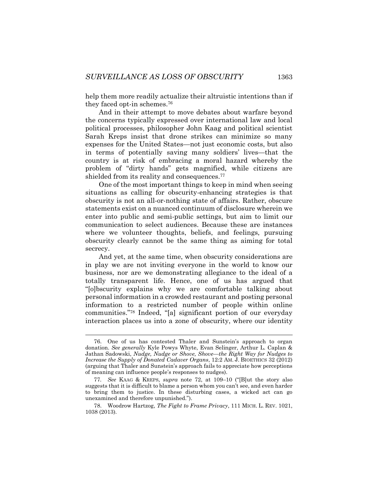help them more readily actualize their altruistic intentions than if they faced opt-in schemes.<sup>76</sup>

And in their attempt to move debates about warfare beyond the concerns typically expressed over international law and local political processes, philosopher John Kaag and political scientist Sarah Kreps insist that drone strikes can minimize so many expenses for the United States—not just economic costs, but also in terms of potentially saving many soldiers' lives—that the country is at risk of embracing a moral hazard whereby the problem of "dirty hands" gets magnified, while citizens are shielded from its reality and consequences.<sup>77</sup>

One of the most important things to keep in mind when seeing situations as calling for obscurity-enhancing strategies is that obscurity is not an all-or-nothing state of affairs. Rather, obscure statements exist on a nuanced continuum of disclosure wherein we enter into public and semi-public settings, but aim to limit our communication to select audiences. Because these are instances where we volunteer thoughts, beliefs, and feelings, pursuing obscurity clearly cannot be the same thing as aiming for total secrecy.

And yet, at the same time, when obscurity considerations are in play we are not inviting everyone in the world to know our business, nor are we demonstrating allegiance to the ideal of a totally transparent life. Hence, one of us has argued that "[o]bscurity explains why we are comfortable talking about personal information in a crowded restaurant and posting personal information to a restricted number of people within online communities."<sup>78</sup> Indeed, "[a] significant portion of our everyday interaction places us into a zone of obscurity, where our identity

<sup>76.</sup> One of us has contested Thaler and Sunstein's approach to organ donation. *See generally* Kyle Powys Whyte, Evan Selinger, Arthur L. Caplan & Jathan Sadowski, *Nudge, Nudge or Shove, Shove—the Right Way for Nudges to Increase the Supply of Donated Cadaver Organs*, 12:2 AM. J. BIOETHICS 32 (2012) (arguing that Thaler and Sunstein's approach fails to appreciate how perceptions of meaning can influence people's responses to nudges).

<sup>77</sup>*. See* KAAG & KREPS, *supra* note [72,](#page-19-0) at 109–10 ("[B]ut the story also suggests that it is difficult to blame a person whom you can't see, and even harder to bring them to justice. In these disturbing cases, a wicked act can go unexamined and therefore unpunished.").

<sup>78.</sup> Woodrow Hartzog, *The Fight to Frame Privacy*, 111 MICH. L. REV. 1021, 1038 (2013).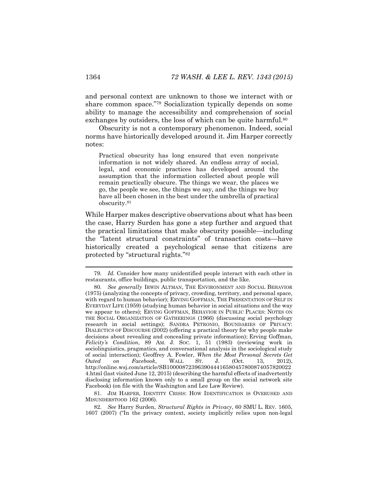and personal context are unknown to those we interact with or share common space."<sup>79</sup> Socialization typically depends on some ability to manage the accessibility and comprehension of social exchanges by outsiders, the loss of which can be quite harmful.<sup>80</sup>

Obscurity is not a contemporary phenomenon. Indeed, social norms have historically developed around it. Jim Harper correctly notes:

Practical obscurity has long ensured that even nonprivate information is not widely shared. An endless array of social, legal, and economic practices has developed around the assumption that the information collected about people will remain practically obscure. The things we wear, the places we go, the people we see, the things we say, and the things we buy have all been chosen in the best under the umbrella of practical obscurity.<sup>81</sup>

While Harper makes descriptive observations about what has been the case, Harry Surden has gone a step further and argued that the practical limitations that make obscurity possible—including the "latent structural constraints" of transaction costs—have historically created a psychological sense that citizens are protected by "structural rights."<sup>82</sup>

81. JIM HARPER, IDENTITY CRISIS: HOW IDENTIFICATION IS OVERUSED AND MISUNDERSTOOD 162 (2006).

82*. See* Harry Surden, *Structural Rights in Privacy*, 60 SMU L. REV. 1605, 1607 (2007) ("In the privacy context, society implicitly relies upon non-legal

<sup>79</sup>*. Id.* Consider how many unidentified people interact with each other in restaurants, office buildings, public transportation, and the like.

<sup>80</sup>*. See generally* IRWIN ALTMAN, THE ENVIRONMENT AND SOCIAL BEHAVIOR (1975) (analyzing the concepts of privacy, crowding, territory, and personal space, with regard to human behavior); ERVING GOFFMAN, THE PRESENTATION OF SELF IN EVERYDAY LIFE (1959) (studying human behavior in social situations and the way we appear to others); ERVING GOFFMAN, BEHAVIOR IN PUBLIC PLACES: NOTES ON THE SOCIAL ORGANIZATION OF GATHERINGS (1966) (discussing social psychology research in social settings); SANDRA PETRONIO, BOUNDARIES OF PRIVACY: DIALECTICS OF DISCOURSE (2002) (offering a practical theory for why people make decisions about revealing and concealing private information); Erving Goffman, *Felicity's Condition*, 89 AM. J. SOC. 1, 51 (1983) (reviewing work in sociolinguistics, pragmatics, and conversational analysis in the sociological study of social interaction); Geoffrey A. Fowler, *When the Most Personal Secrets Get Outed on Facebook*, WALL ST. J. (Oct. 13, 2012), http://online.wsj.com/article/SB1000087239639044416580457800874057820022 4.html (last visited June 12, 2015) (describing the harmful effects of inadvertently disclosing information known only to a small group on the social network site Facebook) (on file with the Washington and Lee Law Review).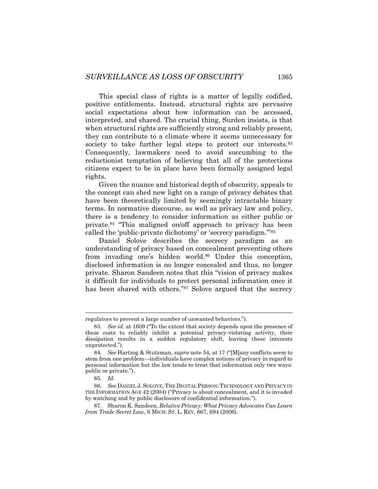This special class of rights is a matter of legally codified, positive entitlements. Instead, structural rights are pervasive social expectations about how information can be accessed, interpreted, and shared. The crucial thing, Surden insists, is that when structural rights are sufficiently strong and reliably present, they can contribute to a climate where it seems unnecessary for society to take further legal steps to protect our interests.<sup>83</sup> Consequently, lawmakers need to avoid succumbing to the reductionist temptation of believing that all of the protections citizens expect to be in place have been formally assigned legal rights.

Given the nuance and historical depth of obscurity, appeals to the concept can shed new light on a range of privacy debates that have been theoretically limited by seemingly intractable binary terms. In normative discourse, as well as privacy law and policy, there is a tendency to consider information as either public or private. <sup>84</sup> "This maligned on/off approach to privacy has been called the 'public-private dichotomy' or 'secrecy paradigm.'" 85

<span id="page-23-0"></span>Daniel Solove describes the secrecy paradigm as an understanding of privacy based on concealment preventing others from invading one's hidden world.<sup>86</sup> Under this conception, disclosed information is no longer concealed and thus, no longer private. Sharon Sandeen notes that this "vision of privacy makes it difficult for individuals to protect personal information once it has been shared with others."<sup>87</sup> Solove argued that the secrecy

regulators to prevent a large number of unwanted behaviors.").

<sup>83</sup>*. See id.* at 1609 ("To the extent that society depends upon the presence of these costs to reliably inhibit a potential privacy-violating activity, their dissipation results in a sudden regulatory shift, leaving these interests unprotected.").

<sup>84</sup>*. See* Hartzog & Stutzman, *supra* not[e 54](#page-15-0), at 17 ("[M]any conflicts seem to stem from one problem—individuals have complex notions of privacy in regard to personal information but the law tends to treat that information only two ways: public or private.").

<sup>85</sup>*. Id.*

<sup>86</sup>*. See* DANIEL J. SOLOVE, THE DIGITAL PERSON: TECHNOLOGY AND PRIVACY IN THE INFORMATION AGE 42 (2004) ("Privacy is about concealment, and it is invaded by watching and by public disclosure of confidential information.").

<sup>87.</sup> Sharon K. Sandeen, *Relative Privacy: What Privacy Advocates Can Learn from Trade Secret Law*, 6 MICH. ST. L. REV. 667, 694 (2006).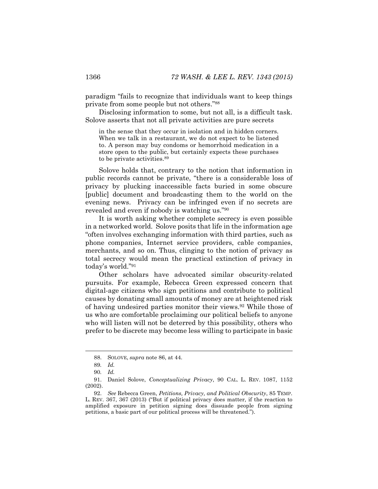paradigm "fails to recognize that individuals want to keep things private from some people but not others."<sup>88</sup>

Disclosing information to some, but not all, is a difficult task. Solove asserts that not all private activities are pure secrets

in the sense that they occur in isolation and in hidden corners. When we talk in a restaurant, we do not expect to be listened to. A person may buy condoms or hemorrhoid medication in a store open to the public, but certainly expects these purchases to be private activities. 89

Solove holds that, contrary to the notion that information in public records cannot be private, "there is a considerable loss of privacy by plucking inaccessible facts buried in some obscure [public] document and broadcasting them to the world on the evening news. Privacy can be infringed even if no secrets are revealed and even if nobody is watching us."<sup>90</sup>

It is worth asking whether complete secrecy is even possible in a networked world. Solove posits that life in the information age "often involves exchanging information with third parties, such as phone companies, Internet service providers, cable companies, merchants, and so on. Thus, clinging to the notion of privacy as total secrecy would mean the practical extinction of privacy in today's world."<sup>91</sup>

Other scholars have advocated similar obscurity-related pursuits. For example, Rebecca Green expressed concern that digital-age citizens who sign petitions and contribute to political causes by donating small amounts of money are at heightened risk of having undesired parties monitor their views.<sup>92</sup> While those of us who are comfortable proclaiming our political beliefs to anyone who will listen will not be deterred by this possibility, others who prefer to be discrete may become less willing to participate in basic

<sup>88.</sup> SOLOVE, *supra* note [86,](#page-23-0) at 44.

<sup>89</sup>*. Id.*

<sup>90</sup>*. Id.*

<sup>91.</sup> Daniel Solove, *Conceptualizing Privacy*, 90 CAL. L. REV. 1087, 1152 (2002).

<sup>92.</sup> *See* Rebecca Green, *Petitions, Privacy, and Political Obscurity*, 85 TEMP. L. REV. 367, 367 (2013) ("But if political privacy does matter, if the reaction to amplified exposure in petition signing does dissuade people from signing petitions, a basic part of our political process will be threatened.").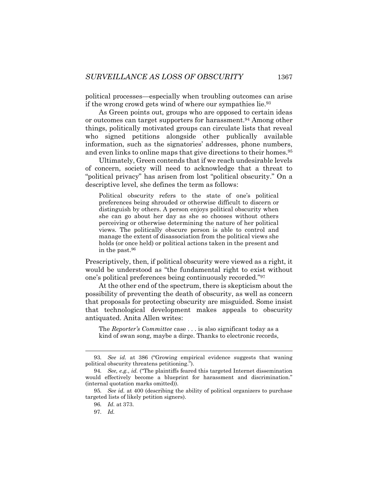political processes—especially when troubling outcomes can arise if the wrong crowd gets wind of where our sympathies lie.<sup>93</sup>

As Green points out, groups who are opposed to certain ideas or outcomes can target supporters for harassment.<sup>94</sup> Among other things, politically motivated groups can circulate lists that reveal who signed petitions alongside other publically available information, such as the signatories' addresses, phone numbers, and even links to online maps that give directions to their homes.<sup>95</sup>

Ultimately, Green contends that if we reach undesirable levels of concern, society will need to acknowledge that a threat to "political privacy" has arisen from lost "political obscurity." On a descriptive level, she defines the term as follows:

Political obscurity refers to the state of one's political preferences being shrouded or otherwise difficult to discern or distinguish by others. A person enjoys political obscurity when she can go about her day as she so chooses without others perceiving or otherwise determining the nature of her political views. The politically obscure person is able to control and manage the extent of disassociation from the political views she holds (or once held) or political actions taken in the present and in the past.<sup>96</sup>

Prescriptively, then, if political obscurity were viewed as a right, it would be understood as "the fundamental right to exist without one's political preferences being continuously recorded."<sup>97</sup>

At the other end of the spectrum, there is skepticism about the possibility of preventing the death of obscurity, as well as concern that proposals for protecting obscurity are misguided. Some insist that technological development makes appeals to obscurity antiquated. Anita Allen writes:

The *Reporter's Committee* case . . . is also significant today as a kind of swan song, maybe a dirge. Thanks to electronic records,

<sup>93</sup>*. See id.* at 386 ("Growing empirical evidence suggests that waning political obscurity threatens petitioning.").

<sup>94</sup>*. See, e.g.*, *id.* ("The plaintiffs feared this targeted Internet dissemination would effectively become a blueprint for harassment and discrimination." (internal quotation marks omitted)).

<sup>95</sup>*. See id.* at 400 (describing the ability of political organizers to purchase targeted lists of likely petition signers).

<sup>96</sup>*. Id.* at 373.

<sup>97</sup>*. Id.*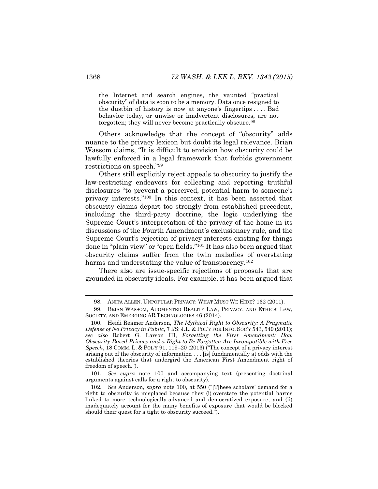the Internet and search engines, the vaunted "practical obscurity" of data is soon to be a memory. Data once resigned to the dustbin of history is now at anyone's fingertips . . . . Bad behavior today, or unwise or inadvertent disclosures, are not forgotten; they will never become practically obscure.<sup>98</sup>

Others acknowledge that the concept of "obscurity" adds nuance to the privacy lexicon but doubt its legal relevance. Brian Wassom claims, "It is difficult to envision how obscurity could be lawfully enforced in a legal framework that forbids government restrictions on speech."<sup>99</sup>

<span id="page-26-0"></span>Others still explicitly reject appeals to obscurity to justify the law-restricting endeavors for collecting and reporting truthful disclosures "to prevent a perceived, potential harm to someone's privacy interests."<sup>100</sup> In this context, it has been asserted that obscurity claims depart too strongly from established precedent, including the third-party doctrine, the logic underlying the Supreme Court's interpretation of the privacy of the home in its discussions of the Fourth Amendment's exclusionary rule, and the Supreme Court's rejection of privacy interests existing for things done in "plain view" or "open fields."<sup>101</sup> It has also been argued that obscurity claims suffer from the twin maladies of overstating harms and understating the value of transparency.<sup>102</sup>

There also are issue-specific rejections of proposals that are grounded in obscurity ideals. For example, it has been argued that

101*. See supra* note [100](#page-26-0) and accompanying text (presenting doctrinal arguments against calls for a right to obscurity).

<sup>98.</sup> ANITA ALLEN, UNPOPULAR PRIVACY: WHAT MUST WE HIDE? 162 (2011).

<sup>99.</sup> BRIAN WASSOM, AUGMENTED REALITY LAW, PRIVACY, AND ETHICS: LAW, SOCIETY, AND EMERGING AR TECHNOLOGIES 46 (2014).

<sup>100.</sup> Heidi Reamer Anderson, *The Mythical Right to Obscurity: A Pragmatic Defense of No Privacy in Public*, 7 I/S: J.L. & POL'Y FOR INFO. SOC'Y 543, 549 (2011); *see also* Robert G. Larson III, *Forgetting the First Amendment: How Obscurity-Based Privacy and a Right to Be Forgotten Are Incompatible with Free Speech*, 18 COMM. L. & POL'Y 91, 119–20 (2013) ("The concept of a privacy interest arising out of the obscurity of information . . . [is] fundamentally at odds with the established theories that undergird the American First Amendment right of freedom of speech.").

<sup>102</sup>*. See* Anderson, *supra* note [100](#page-26-0), at 550 ("[T]hese scholars' demand for a right to obscurity is misplaced because they (i) overstate the potential harms linked to more technologically-advanced and democratized exposure, and (ii) inadequately account for the many benefits of exposure that would be blocked should their quest for a tight to obscurity succeed.").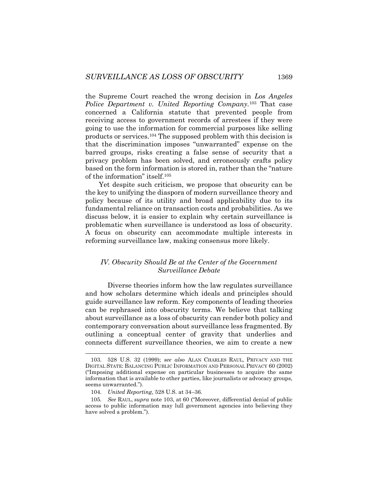<span id="page-27-0"></span>the Supreme Court reached the wrong decision in *Los Angeles Police Department v. United Reporting Company.*<sup>103</sup> That case concerned a California statute that prevented people from receiving access to government records of arrestees if they were going to use the information for commercial purposes like selling products or services.<sup>104</sup> The supposed problem with this decision is that the discrimination imposes "unwarranted" expense on the barred groups, risks creating a false sense of security that a privacy problem has been solved, and erroneously crafts policy based on the form information is stored in, rather than the "nature of the information" itself.<sup>105</sup>

Yet despite such criticism, we propose that obscurity can be the key to unifying the diaspora of modern surveillance theory and policy because of its utility and broad applicability due to its fundamental reliance on transaction costs and probabilities. As we discuss below, it is easier to explain why certain surveillance is problematic when surveillance is understood as loss of obscurity. A focus on obscurity can accommodate multiple interests in reforming surveillance law, making consensus more likely.

# *IV. Obscurity Should Be at the Center of the Government Surveillance Debate*

Diverse theories inform how the law regulates surveillance and how scholars determine which ideals and principles should guide surveillance law reform. Key components of leading theories can be rephrased into obscurity terms. We believe that talking about surveillance as a loss of obscurity can render both policy and contemporary conversation about surveillance less fragmented. By outlining a conceptual center of gravity that underlies and connects different surveillance theories, we aim to create a new

<sup>103.</sup> 528 U.S. 32 (1999); *see also* ALAN CHARLES RAUL, PRIVACY AND THE DIGITAL STATE: BALANCING PUBLIC INFORMATION AND PERSONAL PRIVACY 60 (2002) ("Imposing additional expense on particular businesses to acquire the same information that is available to other parties, like journalists or advocacy groups, seems unwarranted.").

<sup>104</sup>*. United Reporting*, 528 U.S. at 34–36.

<sup>105</sup>*. See* RAUL, *supra* note [103,](#page-27-0) at 60 ("Moreover, differential denial of public access to public information may lull government agencies into believing they have solved a problem.").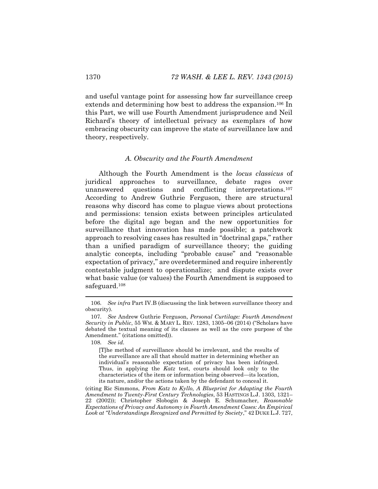and useful vantage point for assessing how far surveillance creep extends and determining how best to address the expansion.<sup>106</sup> In this Part, we will use Fourth Amendment jurisprudence and Neil Richard's theory of intellectual privacy as exemplars of how embracing obscurity can improve the state of surveillance law and theory, respectively.

#### *A. Obscurity and the Fourth Amendment*

Although the Fourth Amendment is the *locus classicus* of juridical approaches to surveillance, debate rages over unanswered questions and conflicting interpretations.<sup>107</sup> According to Andrew Guthrie Ferguson, there are structural reasons why discord has come to plague views about protections and permissions: tension exists between principles articulated before the digital age began and the new opportunities for surveillance that innovation has made possible; a patchwork approach to resolving cases has resulted in "doctrinal gaps," rather than a unified paradigm of surveillance theory; the guiding analytic concepts, including "probable cause" and "reasonable expectation of privacy," are overdetermined and require inherently contestable judgment to operationalize; and dispute exists over what basic value (or values) the Fourth Amendment is supposed to safeguard.<sup>108</sup>

<sup>106</sup>*. See infra* Part IV.B (discussing the link between surveillance theory and obscurity).

<sup>107</sup>*. See* Andrew Guthrie Ferguson, *Personal Curtilage: Fourth Amendment Security in Public*, 55 WM. & MARY L. REV. 1283, 1305–06 (2014) ("Scholars have debated the textual meaning of its clauses as well as the core purpose of the Amendment." (citations omitted)).

<sup>108</sup>*. See id.*

<sup>[</sup>T]he method of surveillance should be irrelevant, and the results of the surveillance are all that should matter in determining whether an individual's reasonable expectation of privacy has been infringed. Thus, in applying the *Katz* test, courts should look only to the characteristics of the item or information being observed—its location, its nature, and/or the actions taken by the defendant to conceal it.

<sup>(</sup>citing Ric Simmons, *From Katz to Kyllo, A Blueprint for Adapting the Fourth Amendment to Twenty-First Century Technologies*, 53 HASTINGS L.J. 1303, 1321– 22 (2002)); Christopher Slobogin & Joseph E. Schumacher, *Reasonable Expectations of Privacy and Autonomy in Fourth Amendment Cases: An Empirical Look at "Understandings Recognized and Permitted by Society*," 42 DUKE L.J. 727,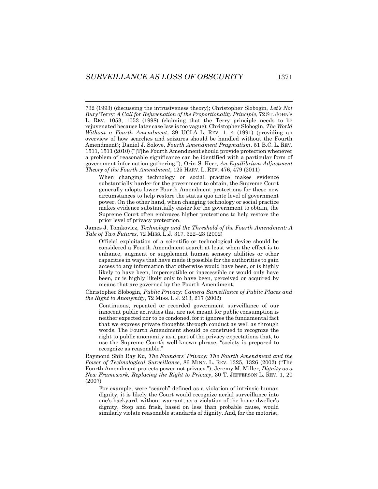732 (1993) (discussing the intrusiveness theory); Christopher Slobogin, *Let's Not Bury* Terry*: A Call for Rejuvenation of the Proportionality Principle*, 72 ST. JOHN'S L. REV. 1053, 1053 (1998) (claiming that the Terry principle needs to be rejuvenated because later case law is too vague); Christopher Slobogin, *The World Without a Fourth Amendment*, 39 UCLA L. REV. 1, 4 (1991) (providing an overview of how searches and seizures should be handled without the Fourth Amendment); Daniel J. Solove, *Fourth Amendment Pragmatism*, 51 B.C. L. REV. 1511, 1511 (2010) ("[T]he Fourth Amendment should provide protection whenever a problem of reasonable significance can be identified with a particular form of government information gathering."); Orin S. Kerr, *An Equilibrium-Adjustment Theory of the Fourth Amendment*, 125 HARV. L. REV. 476, 479 (2011)

When changing technology or social practice makes evidence substantially harder for the government to obtain, the Supreme Court generally adopts lower Fourth Amendment protections for these new circumstances to help restore the status quo ante level of government power. On the other hand, when changing technology or social practice makes evidence substantially easier for the government to obtain, the Supreme Court often embraces higher protections to help restore the prior level of privacy protection.

James J. Tomkovicz, *Technology and the Threshold of the Fourth Amendment: A Tale of Two Futures*, 72 MISS. L.J. 317, 322–23 (2002)

Official exploitation of a scientific or technological device should be considered a Fourth Amendment search at least when the effect is to enhance, augment or supplement human sensory abilities or other capacities in ways that have made it possible for the authorities to gain access to any information that otherwise would have been, or is highly likely to have been, imperceptible or inaccessible or would only have been, or is highly likely only to have been, perceived or acquired by means that are governed by the Fourth Amendment.

Christopher Slobogin, *Public Privacy: Camera Surveillance of Public Places and the Right to Anonymity*, 72 MISS. L.J. 213, 217 (2002)

Continuous, repeated or recorded government surveillance of our innocent public activities that are not meant for public consumption is neither expected nor to be condoned, for it ignores the fundamental fact that we express private thoughts through conduct as well as through words. The Fourth Amendment should be construed to recognize the right to public anonymity as a part of the privacy expectations that, to use the Supreme Court's well-known phrase, "society is prepared to recognize as reasonable."

Raymond Shih Ray Ku, *The Founders' Privacy: The Fourth Amendment and the Power of Technological Surveillance*, 86 MINN. L. REV. 1325, 1326 (2002) ("The Fourth Amendment protects power not privacy."); Jeremy M. Miller, *Dignity as a New Framework, Replacing the Right to Privacy*, 30 T. JEFFERSON L. REV. 1, 20 (2007)

For example, were "search" defined as a violation of intrinsic human dignity, it is likely the Court would recognize aerial surveillance into one's backyard, without warrant, as a violation of the home dweller's dignity. Stop and frisk, based on less than probable cause, would similarly violate reasonable standards of dignity. And, for the motorist,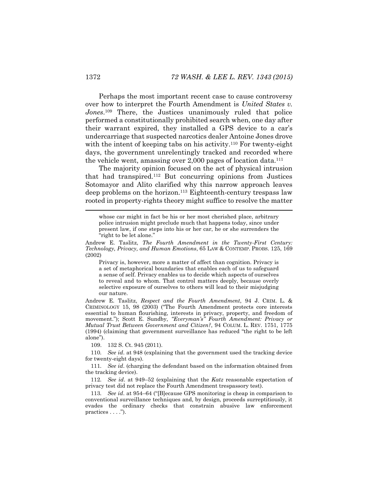Perhaps the most important recent case to cause controversy over how to interpret the Fourth Amendment is *United States v.*  Jones.<sup>109</sup> There, the Justices unanimously ruled that police performed a constitutionally prohibited search when, one day after their warrant expired, they installed a GPS device to a car's undercarriage that suspected narcotics dealer Antoine Jones drove with the intent of keeping tabs on his activity.<sup>110</sup> For twenty-eight days, the government unrelentingly tracked and recorded where the vehicle went, amassing over  $2,000$  pages of location data.<sup>111</sup>

The majority opinion focused on the act of physical intrusion that had transpired.<sup>112</sup> But concurring opinions from Justices Sotomayor and Alito clarified why this narrow approach leaves deep problems on the horizon.<sup>113</sup> Eighteenth-century trespass law rooted in property-rights theory might suffice to resolve the matter

whose car might in fact be his or her most cherished place, arbitrary police intrusion might preclude much that happens today, since under present law, if one steps into his or her car, he or she surrenders the "right to be let alone."

Privacy is, however, more a matter of affect than cognition. Privacy is a set of metaphorical boundaries that enables each of us to safeguard a sense of self. Privacy enables us to decide which aspects of ourselves to reveal and to whom. That control matters deeply, because overly selective exposure of ourselves to others will lead to their misjudging our nature.

Andrew E. Taslitz, *Respect and the Fourth Amendment*, 94 J. CRIM. L. & CRIMINOLOGY 15, 98 (2003) ("The Fourth Amendment protects core interests essential to human flourishing, interests in privacy, property, and freedom of movement."); Scott E. Sundby, *"Everyman's" Fourth Amendment: Privacy or Mutual Trust Between Government and Citizen?*, 94 COLUM. L. REV. 1751, 1775 (1994) (claiming that government surveillance has reduced "the right to be left alone").

109. 132 S. Ct. 945 (2011).

110*. See id*. at 948 (explaining that the government used the tracking device for twenty-eight days).

111*. See id*. (charging the defendant based on the information obtained from the tracking device).

112*. See id*. at 949–52 (explaining that the *Katz* reasonable expectation of privacy test did not replace the Fourth Amendment trespassory test).

113*. See id*. at 954–64 ("[B]ecause GPS monitoring is cheap in comparison to conventional surveillance techniques and, by design, proceeds surreptitiously, it evades the ordinary checks that constrain abusive law enforcement practices . . . .").

Andrew E. Taslitz, *The Fourth Amendment in the Twenty-First Century: Technology, Privacy, and Human Emotions*, 65 LAW & CONTEMP. PROBS. 125, 169 (2002)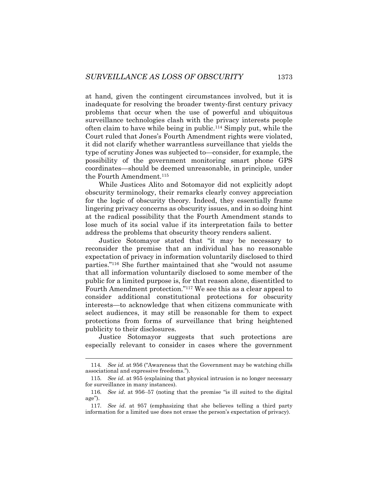at hand, given the contingent circumstances involved, but it is inadequate for resolving the broader twenty-first century privacy problems that occur when the use of powerful and ubiquitous surveillance technologies clash with the privacy interests people often claim to have while being in public.<sup>114</sup> Simply put, while the Court ruled that Jones's Fourth Amendment rights were violated, it did not clarify whether warrantless surveillance that yields the type of scrutiny Jones was subjected to—consider, for example, the possibility of the government monitoring smart phone GPS coordinates—should be deemed unreasonable, in principle, under the Fourth Amendment.<sup>115</sup>

While Justices Alito and Sotomayor did not explicitly adopt obscurity terminology, their remarks clearly convey appreciation for the logic of obscurity theory. Indeed, they essentially frame lingering privacy concerns as obscurity issues, and in so doing hint at the radical possibility that the Fourth Amendment stands to lose much of its social value if its interpretation fails to better address the problems that obscurity theory renders salient.

Justice Sotomayor stated that "it may be necessary to reconsider the premise that an individual has no reasonable expectation of privacy in information voluntarily disclosed to third parties."<sup>116</sup> She further maintained that she "would not assume that all information voluntarily disclosed to some member of the public for a limited purpose is, for that reason alone, disentitled to Fourth Amendment protection."<sup>117</sup> We see this as a clear appeal to consider additional constitutional protections for obscurity interests—to acknowledge that when citizens communicate with select audiences, it may still be reasonable for them to expect protections from forms of surveillance that bring heightened publicity to their disclosures.

Justice Sotomayor suggests that such protections are especially relevant to consider in cases where the government

<sup>114</sup>*. See id.* at 956 ("Awareness that the Government may be watching chills associational and expressive freedoms.").

<sup>115</sup>*. See id*. at 955 (explaining that physical intrusion is no longer necessary for surveillance in many instances).

<sup>116</sup>*. See id*. at 956–57 (noting that the premise "is ill suited to the digital age").

<sup>117</sup>*. See id*. at 957 (emphasizing that she believes telling a third party information for a limited use does not erase the person's expectation of privacy).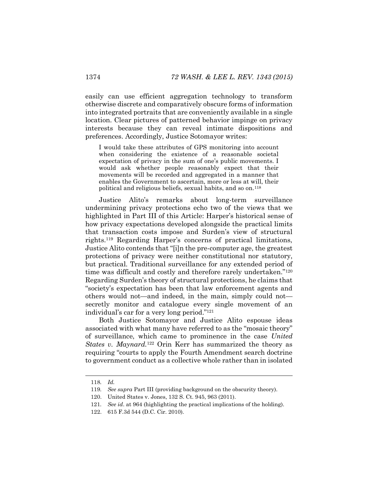easily can use efficient aggregation technology to transform otherwise discrete and comparatively obscure forms of information into integrated portraits that are conveniently available in a single location. Clear pictures of patterned behavior impinge on privacy interests because they can reveal intimate dispositions and preferences. Accordingly, Justice Sotomayor writes:

I would take these attributes of GPS monitoring into account when considering the existence of a reasonable societal expectation of privacy in the sum of one's public movements. I would ask whether people reasonably expect that their movements will be recorded and aggregated in a manner that enables the Government to ascertain, more or less at will, their political and religious beliefs, sexual habits, and so on.<sup>118</sup>

Justice Alito's remarks about long-term surveillance undermining privacy protections echo two of the views that we highlighted in Part III of this Article: Harper's historical sense of how privacy expectations developed alongside the practical limits that transaction costs impose and Surden's view of structural rights.<sup>119</sup> Regarding Harper's concerns of practical limitations, Justice Alito contends that "[i]n the pre-computer age, the greatest protections of privacy were neither constitutional nor statutory, but practical. Traditional surveillance for any extended period of time was difficult and costly and therefore rarely undertaken."<sup>120</sup> Regarding Surden's theory of structural protections, he claims that "society's expectation has been that law enforcement agents and others would not—and indeed, in the main, simply could not secretly monitor and catalogue every single movement of an individual's car for a very long period." 121

Both Justice Sotomayor and Justice Alito espouse ideas associated with what many have referred to as the "mosaic theory" of surveillance, which came to prominence in the case *United States v. Maynard.*<sup>122</sup> Orin Kerr has summarized the theory as requiring "courts to apply the Fourth Amendment search doctrine to government conduct as a collective whole rather than in isolated

<sup>118</sup>*. Id.*

<sup>119</sup>*. See supra* Part III (providing background on the obscurity theory).

<sup>120.</sup> United States v. Jones, 132 S. Ct. 945, 963 (2011).

<sup>121</sup>*. See id*. at 964 (highlighting the practical implications of the holding).

<sup>122.</sup> 615 F.3d 544 (D.C. Cir. 2010).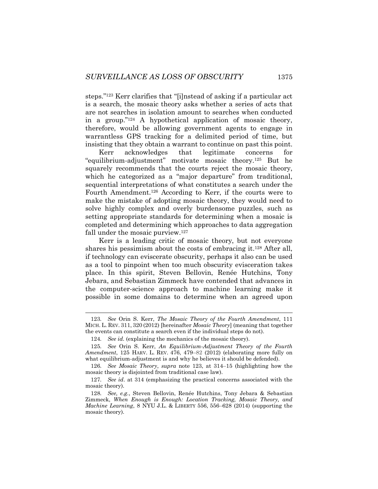<span id="page-33-1"></span><span id="page-33-0"></span>steps."<sup>123</sup> Kerr clarifies that "[i]nstead of asking if a particular act is a search, the mosaic theory asks whether a series of acts that are not searches in isolation amount to searches when conducted in a group."<sup>124</sup> A hypothetical application of mosaic theory, therefore, would be allowing government agents to engage in warrantless GPS tracking for a delimited period of time, but insisting that they obtain a warrant to continue on past this point.

Kerr acknowledges that legitimate concerns for "equilibrium-adjustment" motivate mosaic theory.<sup>125</sup> But he squarely recommends that the courts reject the mosaic theory, which he categorized as a "major departure" from traditional, sequential interpretations of what constitutes a search under the Fourth Amendment.<sup>126</sup> According to Kerr, if the courts were to make the mistake of adopting mosaic theory, they would need to solve highly complex and overly burdensome puzzles, such as setting appropriate standards for determining when a mosaic is completed and determining which approaches to data aggregation fall under the mosaic purview.<sup>127</sup>

<span id="page-33-2"></span>Kerr is a leading critic of mosaic theory, but not everyone shares his pessimism about the costs of embracing it.<sup>128</sup> After all, if technology can eviscerate obscurity, perhaps it also can be used as a tool to pinpoint when too much obscurity evisceration takes place. In this spirit, Steven Bellovin, Renée Hutchins, Tony Jebara, and Sebastian Zimmeck have contended that advances in the computer-science approach to machine learning make it possible in some domains to determine when an agreed upon

<sup>123</sup>*. See* Orin S. Kerr, *The Mosaic Theory of the Fourth Amendment*, 111 MICH. L. REV. 311, 320 (2012) [hereinafter *Mosaic Theory*] (meaning that together the events can constitute a search even if the individual steps do not).

<sup>124</sup>*. See id.* (explaining the mechanics of the mosaic theory).

<sup>125</sup>*. See* Orin S. Kerr, *An Equilibrium-Adjustment Theory of the Fourth Amendment*, 125 HARV. L. REV. 476, 479–82 (2012) (elaborating more fully on what equilibrium-adjustment is and why he believes it should be defended).

<sup>126</sup>*. See Mosaic Theory*, *supra* note [123,](#page-33-0) at 314–15 (highlighting how the mosaic theory is disjointed from traditional case law).

<sup>127</sup>*. See id*. at 314 (emphasizing the practical concerns associated with the mosaic theory).

<sup>128</sup>*. See, e.g.*, Steven Bellovin, Renée Hutchins, Tony Jebara & Sebastian Zimmeck, *When Enough is Enough: Location Tracking, Mosaic Theory, and Machine Learning*, 8 NYU J.L. & LIBERTY 556, 556–628 (2014) (supporting the mosaic theory).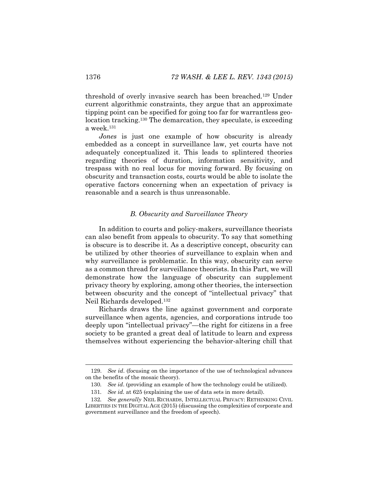threshold of overly invasive search has been breached.<sup>129</sup> Under current algorithmic constraints, they argue that an approximate tipping point can be specified for going too far for warrantless geolocation tracking.<sup>130</sup> The demarcation, they speculate, is exceeding a week.<sup>131</sup>

*Jones* is just one example of how obscurity is already embedded as a concept in surveillance law, yet courts have not adequately conceptualized it. This leads to splintered theories regarding theories of duration, information sensitivity, and trespass with no real locus for moving forward. By focusing on obscurity and transaction costs, courts would be able to isolate the operative factors concerning when an expectation of privacy is reasonable and a search is thus unreasonable.

# *B. Obscurity and Surveillance Theory*

In addition to courts and policy-makers, surveillance theorists can also benefit from appeals to obscurity. To say that something is obscure is to describe it. As a descriptive concept, obscurity can be utilized by other theories of surveillance to explain when and why surveillance is problematic. In this way, obscurity can serve as a common thread for surveillance theorists. In this Part, we will demonstrate how the language of obscurity can supplement privacy theory by exploring, among other theories, the intersection between obscurity and the concept of "intellectual privacy" that Neil Richards developed.<sup>132</sup>

<span id="page-34-0"></span>Richards draws the line against government and corporate surveillance when agents, agencies, and corporations intrude too deeply upon "intellectual privacy"—the right for citizens in a free society to be granted a great deal of latitude to learn and express themselves without experiencing the behavior-altering chill that

<sup>129.</sup> *See id*. (focusing on the importance of the use of technological advances on the benefits of the mosaic theory).

<sup>130</sup>*. See id*. (providing an example of how the technology could be utilized).

<sup>131</sup>*. See id.* at 625 (explaining the use of data sets in more detail).

<sup>132</sup>*. See generally* NEIL RICHARDS, INTELLECTUAL PRIVACY: RETHINKING CIVIL LIBERTIES IN THE DIGITAL AGE (2015) (discussing the complexities of corporate and government surveillance and the freedom of speech).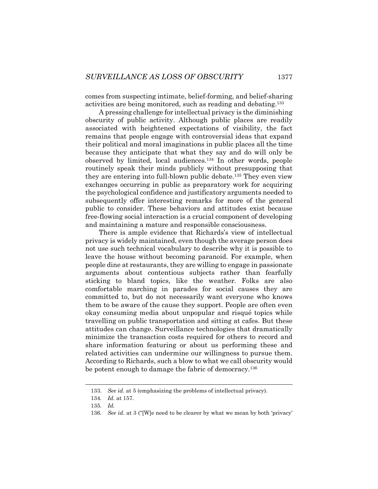comes from suspecting intimate, belief-forming, and belief-sharing activities are being monitored, such as reading and debating.<sup>133</sup>

A pressing challenge for intellectual privacy is the diminishing obscurity of public activity. Although public places are readily associated with heightened expectations of visibility, the fact remains that people engage with controversial ideas that expand their political and moral imaginations in public places all the time because they anticipate that what they say and do will only be observed by limited, local audiences.<sup>134</sup> In other words, people routinely speak their minds publicly without presupposing that they are entering into full-blown public debate.<sup>135</sup> They even view exchanges occurring in public as preparatory work for acquiring the psychological confidence and justificatory arguments needed to subsequently offer interesting remarks for more of the general public to consider. These behaviors and attitudes exist because free-flowing social interaction is a crucial component of developing and maintaining a mature and responsible consciousness.

There is ample evidence that Richards's view of intellectual privacy is widely maintained, even though the average person does not use such technical vocabulary to describe why it is possible to leave the house without becoming paranoid. For example, when people dine at restaurants, they are willing to engage in passionate arguments about contentious subjects rather than fearfully sticking to bland topics, like the weather. Folks are also comfortable marching in parades for social causes they are committed to, but do not necessarily want everyone who knows them to be aware of the cause they support. People are often even okay consuming media about unpopular and risqué topics while travelling on public transportation and sitting at cafes. But these attitudes can change. Surveillance technologies that dramatically minimize the transaction costs required for others to record and share information featuring or about us performing these and related activities can undermine our willingness to pursue them. According to Richards, such a blow to what we call obscurity would be potent enough to damage the fabric of democracy.<sup>136</sup>

<sup>133</sup>*. See id*. at 5 (emphasizing the problems of intellectual privacy).

<sup>134</sup>*. Id.* at 157.

<sup>135</sup>*. Id.*

<sup>136</sup>*. See id*. at 3 ("[W]e need to be clearer by what we mean by both 'privacy'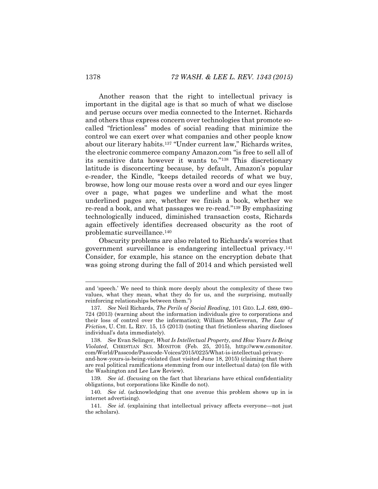<span id="page-36-0"></span>Another reason that the right to intellectual privacy is important in the digital age is that so much of what we disclose and peruse occurs over media connected to the Internet. Richards and others thus express concern over technologies that promote socalled "frictionless" modes of social reading that minimize the control we can exert over what companies and other people know about our literary habits.<sup>137</sup> "Under current law," Richards writes, the electronic commerce company Amazon.com "is free to sell all of its sensitive data however it wants to."<sup>138</sup> This discretionary latitude is disconcerting because, by default, Amazon's popular e-reader, the Kindle, "keeps detailed records of what we buy, browse, how long our mouse rests over a word and our eyes linger over a page, what pages we underline and what the most underlined pages are, whether we finish a book, whether we re-read a book, and what passages we re-read."<sup>139</sup> By emphasizing technologically induced, diminished transaction costs, Richards again effectively identifies decreased obscurity as the root of problematic surveillance.<sup>140</sup>

<span id="page-36-1"></span>Obscurity problems are also related to Richards's worries that government surveillance is endangering intellectual privacy.<sup>141</sup> Consider, for example, his stance on the encryption debate that was going strong during the fall of 2014 and which persisted well

and 'speech.' We need to think more deeply about the complexity of these two values, what they mean, what they do for us, and the surprising, mutually reinforcing relationships between them.")

<sup>137</sup>*. See* Neil Richards, *The Perils of Social Reading*, 101 GEO. L.J. 689, 690– 724 (2013) (warning about the information individuals give to corporations and their loss of control over the information); William McGeveran, *The Law of Friction*, U. CHI. L. REV. 15, 15 (2013) (noting that frictionless sharing discloses individual's data immediately).

<sup>138.</sup> *See* Evan Selinger, *What Is Intellectual Property, and How Yours Is Being Violated*, CHRISTIAN SCI. MONITOR (Feb. 25, 2015), http://www.csmonitor. com/World/Passcode/Passcode-Voices/2015/0225/What-is-intellectual-privacyand-how-yours-is-being-violated (last visited June 18, 2015) (claiming that there are real political ramifications stemming from our intellectual data) (on file with the Washington and Lee Law Review).

<sup>139</sup>*. See id*. (focusing on the fact that librarians have ethical confidentiality obligations, but corporations like Kindle do not).

<sup>140</sup>*. See id*. (acknowledging that one avenue this problem shows up in is internet advertising).

<sup>141</sup>*. See id*. (explaining that intellectual privacy affects everyone—not just the scholars).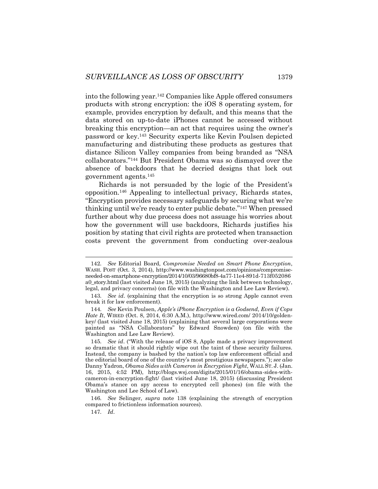into the following year.<sup>142</sup> Companies like Apple offered consumers products with strong encryption: the iOS 8 operating system, for example, provides encryption by default, and this means that the data stored on up-to-date iPhones cannot be accessed without breaking this encryption—an act that requires using the owner's password or key.<sup>143</sup> Security experts like Kevin Poulsen depicted manufacturing and distributing these products as gestures that distance Silicon Valley companies from being branded as "NSA collaborators."<sup>144</sup> But President Obama was so dismayed over the absence of backdoors that he decried designs that lock out government agents.<sup>145</sup>

Richards is not persuaded by the logic of the President's opposition.<sup>146</sup> Appealing to intellectual privacy, Richards states, "Encryption provides necessary safeguards by securing what we're thinking until we're ready to enter public debate."<sup>147</sup> When pressed further about why due process does not assuage his worries about how the government will use backdoors, Richards justifies his position by stating that civil rights are protected when transaction costs prevent the government from conducting over-zealous

146*. See* Selinger, *supra* note [138](#page-36-0) (explaining the strength of encryption compared to frictionless information sources).

147*. Id*.

<sup>142</sup>*. See* Editorial Board, *Compromise Needed on Smart Phone Encryption*, WASH. POST (Oct. 3, 2014), http://www.washingtonpost.com/opinions/compromiseneeded-on-smartphone-encryption/2014/10/03/96680bf8-4a77-11e4-891d-713f052086 a0\_story.html (last visited June 18, 2015) (analyzing the link between technology, legal, and privacy concerns) (on file with the Washington and Lee Law Review).

<sup>143</sup>*. See id*. (explaining that the encryption is so strong Apple cannot even break it for law enforcement).

<sup>144</sup>*. See* Kevin Poulsen, *Apple's iPhone Encryption is a Godsend, Even if Cops Hate It*, WIRED (Oct. 8, 2014, 6:30 A.M.), http://www.wired.com/ 2014/10/goldenkey/ (last visited June 18, 2015) (explaining that several large corporations were painted as "NSA Collaborators" by Edward Snowden) (on file with the Washington and Lee Law Review).

<sup>145</sup>*. See id*. ("With the release of iOS 8, Apple made a privacy improvement so dramatic that it should rightly wipe out the taint of these security failures. Instead, the company is bashed by the nation's top law enforcement official and the editorial board of one of the country's most prestigious newspapers."); *see also* Danny Yadron, *Obama Sides with Cameron in Encryption Fight*, WALL ST. J. (Jan. 16, 2015, 4:52 PM), http://blogs.wsj.com/digits/2015/01/16/obama-sides-withcameron-in-encryption-fight/ (last visited June 18, 2015) (discussing President Obama's stance on spy access to encrypted cell phones) (on file with the Washington and Lee School of Law).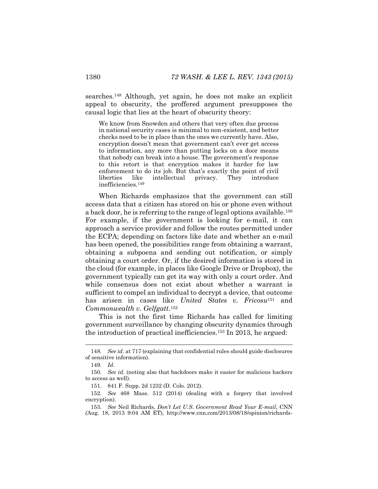searches.<sup>148</sup> Although, yet again, he does not make an explicit appeal to obscurity, the proffered argument presupposes the causal logic that lies at the heart of obscurity theory:

We know from Snowden and others that very often due process in national security cases is minimal to non-existent, and better checks need to be in place than the ones we currently have. Also, encryption doesn't mean that government can't ever get access to information, any more than putting locks on a door means that nobody can break into a house. The government's response to this retort is that encryption makes it harder for law enforcement to do its job. But that's exactly the point of civil liberties like intellectual privacy. They introduce inefficiencies.<sup>149</sup>

When Richards emphasizes that the government can still access data that a citizen has stored on his or phone even without a back door, he is referring to the range of legal options available.<sup>150</sup> For example, if the government is looking for e-mail, it can approach a service provider and follow the routes permitted under the ECPA; depending on factors like date and whether an e-mail has been opened, the possibilities range from obtaining a warrant, obtaining a subpoena and sending out notification, or simply obtaining a court order. Or, if the desired information is stored in the cloud (for example, in places like Google Drive or Dropbox), the government typically can get its way with only a court order. And while consensus does not exist about whether a warrant is sufficient to compel an individual to decrypt a device, that outcome has arisen in cases like *United States v. Fricosu*<sup>151</sup> and *Commonwealth v. Gelfgatt*. 152

This is not the first time Richards has called for limiting government surveillance by changing obscurity dynamics through the introduction of practical inefficiencies.<sup>153</sup> In 2013, he argued:

<sup>148</sup>*. See id*. at 717 (explaining that confidential rules should guide disclosures of sensitive information).

<sup>149</sup>*. Id*.

<sup>150</sup>*. See id*. (noting also that backdoors make it easier for malicious hackers to access as well).

<sup>151.</sup> 841 F. Supp. 2d 1232 (D. Colo. 2012).

<sup>152.</sup> *See* 468 Mass. 512 (2014) (dealing with a forgery that involved encryption).

<sup>153</sup>*. See* Neil Richards, *Don't Let U.S. Government Read Your E-mail*, CNN *(*Aug. 18, 2013 9:04 AM ET), http://www.cnn.com/2013/08/18/opinion/richards-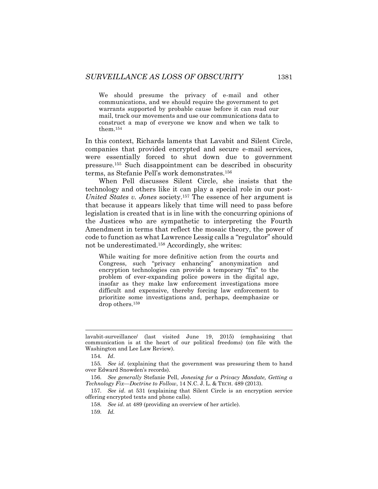We should presume the privacy of e-mail and other communications, and we should require the government to get warrants supported by probable cause before it can read our mail, track our movements and use our communications data to construct a map of everyone we know and when we talk to them.<sup>154</sup>

In this context, Richards laments that Lavabit and Silent Circle, companies that provided encrypted and secure e-mail services, were essentially forced to shut down due to government pressure.<sup>155</sup> Such disappointment can be described in obscurity terms, as Stefanie Pell's work demonstrates.<sup>156</sup>

When Pell discusses Silent Circle, she insists that the technology and others like it can play a special role in our post-*United States v. Jones* society.<sup>157</sup> The essence of her argument is that because it appears likely that time will need to pass before legislation is created that is in line with the concurring opinions of the Justices who are sympathetic to interpreting the Fourth Amendment in terms that reflect the mosaic theory, the power of code to function as what Lawrence Lessig calls a "regulator" should not be underestimated.<sup>158</sup> Accordingly, she writes:

While waiting for more definitive action from the courts and Congress, such "privacy enhancing" anonymization and encryption technologies can provide a temporary "fix" to the problem of ever-expanding police powers in the digital age, insofar as they make law enforcement investigations more difficult and expensive, thereby forcing law enforcement to prioritize some investigations and, perhaps, deemphasize or drop others.<sup>159</sup>

lavabit-surveillance/ (last visited June 19, 2015) (emphasizing that communication is at the heart of our political freedoms) (on file with the Washington and Lee Law Review).

<sup>154</sup>*. Id*.

<sup>155</sup>*. See id*. (explaining that the government was pressuring them to hand over Edward Snowden's records).

<sup>156</sup>*. See generally* Stefanie Pell, *Jonesing for a Privacy Mandate, Getting a Technology Fix—Doctrine to Follow*, 14 N.C. J. L. & TECH. 489 (2013).

<sup>157</sup>*. See id*. at 531 (explaining that Silent Circle is an encryption service offering encrypted texts and phone calls).

<sup>158</sup>*. See id*. at 489 (providing an overview of her article).

<sup>159</sup>*. Id.*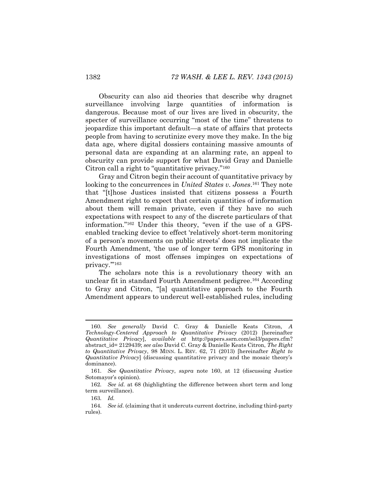Obscurity can also aid theories that describe why dragnet surveillance involving large quantities of information is dangerous. Because most of our lives are lived in obscurity, the specter of surveillance occurring "most of the time" threatens to jeopardize this important default—a state of affairs that protects people from having to scrutinize every move they make. In the big data age, where digital dossiers containing massive amounts of personal data are expanding at an alarming rate, an appeal to obscurity can provide support for what David Gray and Danielle Citron call a right to "quantitative privacy."<sup>160</sup>

<span id="page-40-0"></span>Gray and Citron begin their account of quantitative privacy by looking to the concurrences in *United States v. Jones*. <sup>161</sup> They note that "[t]hose Justices insisted that citizens possess a Fourth Amendment right to expect that certain quantities of information about them will remain private, even if they have no such expectations with respect to any of the discrete particulars of that information."<sup>162</sup> Under this theory, "even if the use of a GPSenabled tracking device to effect 'relatively short-term monitoring of a person's movements on public streets' does not implicate the Fourth Amendment, 'the use of longer term GPS monitoring in investigations of most offenses impinges on expectations of privacy.'"<sup>163</sup>

The scholars note this is a revolutionary theory with an unclear fit in standard Fourth Amendment pedigree.<sup>164</sup> According to Gray and Citron, "[a] quantitative approach to the Fourth Amendment appears to undercut well-established rules, including

<sup>160</sup>*. See generally* David C. Gray & Danielle Keats Citron, *A Technology-Centered Approach to Quantitative Privacy* (2012) [hereinafter *Quantitative Privacy*], *available at* http://papers.ssrn.com/sol3/papers.cfm? abstract\_id= 2129439; *see also* David C. Gray & Danielle Keats Citron, *The Right to Quantitative Privacy*, 98 MINN. L. REV. 62, 71 (2013) [hereinafter *Right to Quantitative Privacy*] (discussing quantitative privacy and the mosaic theory's dominance).

<sup>161</sup>*. See Quantitative Privacy*, *supra* note [160,](#page-40-0) at 12 (discussing Justice Sotomayor's opinion).

<sup>162</sup>*. See id.* at 68 (highlighting the difference between short term and long term surveillance).

<sup>163</sup>*. Id.*

<sup>164</sup>*. See id.* (claiming that it undercuts current doctrine, including third-party rules).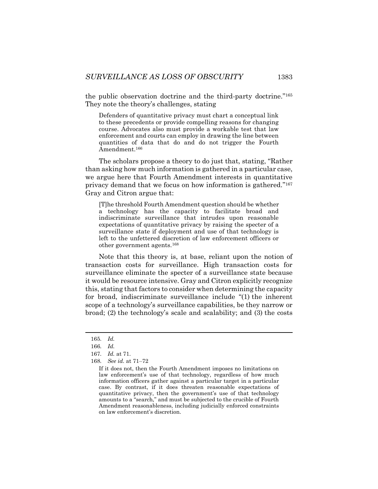the public observation doctrine and the third-party doctrine."<sup>165</sup> They note the theory's challenges, stating

Defenders of quantitative privacy must chart a conceptual link to these precedents or provide compelling reasons for changing course. Advocates also must provide a workable test that law enforcement and courts can employ in drawing the line between quantities of data that do and do not trigger the Fourth Amendment.<sup>166</sup>

The scholars propose a theory to do just that, stating, "Rather than asking how much information is gathered in a particular case, we argue here that Fourth Amendment interests in quantitative privacy demand that we focus on how information is gathered." 167 Gray and Citron argue that:

[T]he threshold Fourth Amendment question should be whether a technology has the capacity to facilitate broad and indiscriminate surveillance that intrudes upon reasonable expectations of quantitative privacy by raising the specter of a surveillance state if deployment and use of that technology is left to the unfettered discretion of law enforcement officers or other government agents.<sup>168</sup>

Note that this theory is, at base, reliant upon the notion of transaction costs for surveillance. High transaction costs for surveillance eliminate the specter of a surveillance state because it would be resource intensive. Gray and Citron explicitly recognize this, stating that factors to consider when determining the capacity for broad, indiscriminate surveillance include "(1) the inherent scope of a technology's surveillance capabilities, be they narrow or broad; (2) the technology's scale and scalability; and (3) the costs

<sup>165</sup>*. Id.*

<sup>166</sup>*. Id.* 

<sup>167</sup>*. Id.* at 71.

<sup>168</sup>*. See id.* at 71–72

If it does not, then the Fourth Amendment imposes no limitations on law enforcement's use of that technology, regardless of how much information officers gather against a particular target in a particular case. By contrast, if it does threaten reasonable expectations of quantitative privacy, then the government's use of that technology amounts to a "search," and must be subjected to the crucible of Fourth Amendment reasonableness, including judicially enforced constraints on law enforcement's discretion.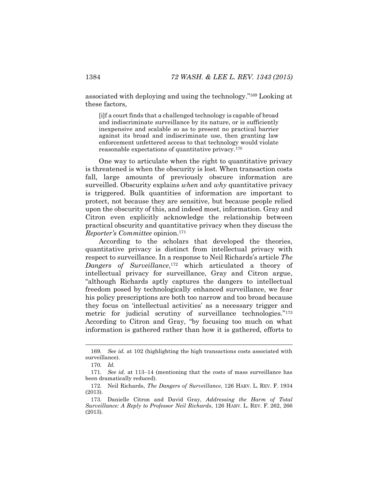associated with deploying and using the technology."<sup>169</sup> Looking at these factors,

[i]f a court finds that a challenged technology is capable of broad and indiscriminate surveillance by its nature, or is sufficiently inexpensive and scalable so as to present no practical barrier against its broad and indiscriminate use, then granting law enforcement unfettered access to that technology would violate reasonable expectations of quantitative privacy.<sup>170</sup>

One way to articulate when the right to quantitative privacy is threatened is when the obscurity is lost. When transaction costs fall, large amounts of previously obscure information are surveilled. Obscurity explains *when* and *why* quantitative privacy is triggered. Bulk quantities of information are important to protect, not because they are sensitive, but because people relied upon the obscurity of this, and indeed most, information. Gray and Citron even explicitly acknowledge the relationship between practical obscurity and quantitative privacy when they discuss the *Reporter's Committee* opinion.<sup>171</sup>

According to the scholars that developed the theories, quantitative privacy is distinct from intellectual privacy with respect to surveillance. In a response to Neil Richards's article *The Dangers of Surveillance*, <sup>172</sup> which articulated a theory of intellectual privacy for surveillance, Gray and Citron argue, "although Richards aptly captures the dangers to intellectual freedom posed by technologically enhanced surveillance, we fear his policy prescriptions are both too narrow and too broad because they focus on 'intellectual activities' as a necessary trigger and metric for judicial scrutiny of surveillance technologies."<sup>173</sup> According to Citron and Gray, "by focusing too much on what information is gathered rather than how it is gathered, efforts to

<sup>169</sup>*. See id.* at 102 (highlighting the high transactions costs associated with surveillance).

<sup>170</sup>*. Id.*

<sup>171</sup>*. See id.* at 113–14 (mentioning that the costs of mass surveillance has been dramatically reduced).

<sup>172</sup>*.* Neil Richards, *The Dangers of Surveillance*, 126 HARV. L. REV. F. 1934 (2013).

<sup>173.</sup> Danielle Citron and David Gray, *Addressing the Harm of Total Surveillance: A Reply to Professor Neil Richards*, 126 HARV. L. REV. F. 262, 266 (2013).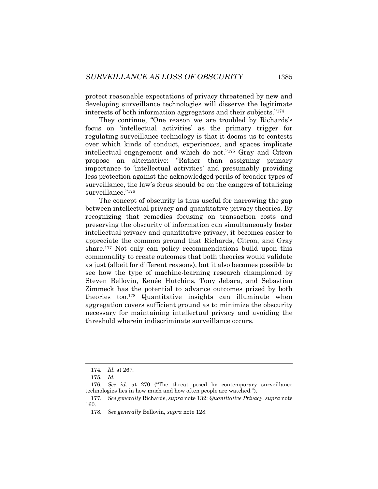protect reasonable expectations of privacy threatened by new and developing surveillance technologies will disserve the legitimate interests of both information aggregators and their subjects."<sup>174</sup>

They continue, "One reason we are troubled by Richards's focus on 'intellectual activities' as the primary trigger for regulating surveillance technology is that it dooms us to contests over which kinds of conduct, experiences, and spaces implicate intellectual engagement and which do not."<sup>175</sup> Gray and Citron propose an alternative: "Rather than assigning primary importance to 'intellectual activities' and presumably providing less protection against the acknowledged perils of broader types of surveillance, the law's focus should be on the dangers of totalizing surveillance."<sup>176</sup>

The concept of obscurity is thus useful for narrowing the gap between intellectual privacy and quantitative privacy theories. By recognizing that remedies focusing on transaction costs and preserving the obscurity of information can simultaneously foster intellectual privacy and quantitative privacy, it becomes easier to appreciate the common ground that Richards, Citron, and Gray share.<sup>177</sup> Not only can policy recommendations build upon this commonality to create outcomes that both theories would validate as just (albeit for different reasons), but it also becomes possible to see how the type of machine-learning research championed by Steven Bellovin, Renée Hutchins, Tony Jebara, and Sebastian Zimmeck has the potential to advance outcomes prized by both theories too.<sup>178</sup> Quantitative insights can illuminate when aggregation covers sufficient ground as to minimize the obscurity necessary for maintaining intellectual privacy and avoiding the threshold wherein indiscriminate surveillance occurs.

<sup>174</sup>*. Id.* at 267*.*

<sup>175</sup>*. Id.*

<sup>176</sup>*. See id.* at 270 ("The threat posed by contemporary surveillance technologies lies in how much and how often people are watched.").

<sup>177</sup>*. See generally* Richards, *supra* note [132;](#page-34-0) *Quantitative Privacy*, *supra* note [160.](#page-40-0)

<sup>178</sup>*. See generally* Bellovin, *supra* not[e 128.](#page-33-2)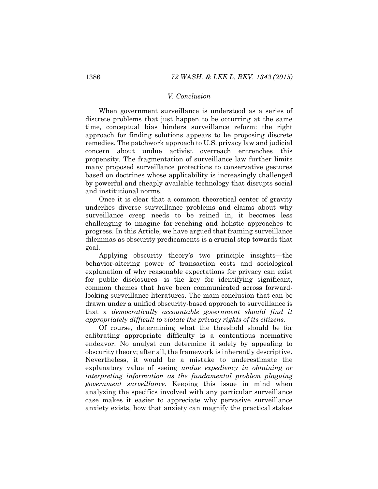#### *V. Conclusion*

When government surveillance is understood as a series of discrete problems that just happen to be occurring at the same time, conceptual bias hinders surveillance reform: the right approach for finding solutions appears to be proposing discrete remedies. The patchwork approach to U.S. privacy law and judicial concern about undue activist overreach entrenches this propensity. The fragmentation of surveillance law further limits many proposed surveillance protections to conservative gestures based on doctrines whose applicability is increasingly challenged by powerful and cheaply available technology that disrupts social and institutional norms.

Once it is clear that a common theoretical center of gravity underlies diverse surveillance problems and claims about why surveillance creep needs to be reined in, it becomes less challenging to imagine far-reaching and holistic approaches to progress. In this Article, we have argued that framing surveillance dilemmas as obscurity predicaments is a crucial step towards that goal.

Applying obscurity theory's two principle insights—the behavior-altering power of transaction costs and sociological explanation of why reasonable expectations for privacy can exist for public disclosures—is the key for identifying significant, common themes that have been communicated across forwardlooking surveillance literatures. The main conclusion that can be drawn under a unified obscurity-based approach to surveillance is that a *democratically accountable government should find it appropriately difficult to violate the privacy rights of its citizens*.

Of course, determining what the threshold should be for calibrating appropriate difficulty is a contentious normative endeavor. No analyst can determine it solely by appealing to obscurity theory; after all, the framework is inherently descriptive. Nevertheless, it would be a mistake to underestimate the explanatory value of seeing *undue expediency in obtaining or interpreting information as the fundamental problem plaguing government surveillance*. Keeping this issue in mind when analyzing the specifics involved with any particular surveillance case makes it easier to appreciate why pervasive surveillance anxiety exists, how that anxiety can magnify the practical stakes